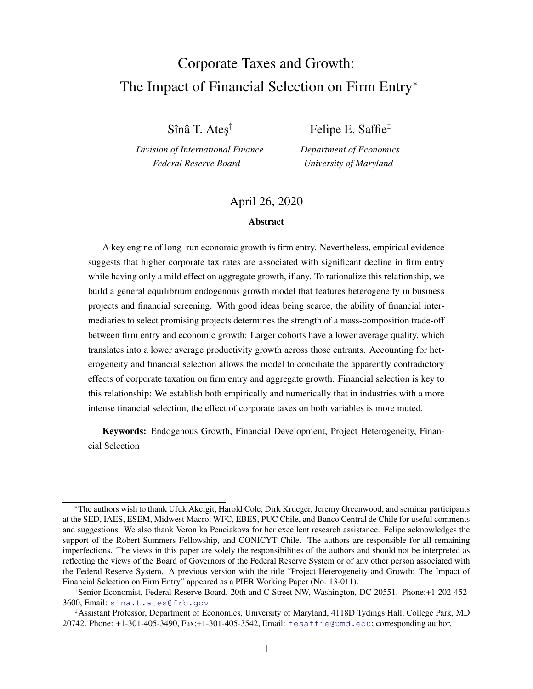# <span id="page-0-0"></span>Corporate Taxes and Growth: The Impact of Financial Selection on Firm Entry<sup>∗</sup>

Sînâ T. Ateş $^\dagger$ 

*Division of International Finance Federal Reserve Board*

Felipe E. Saffie‡ *Department of Economics*

*University of Maryland*

### April 26, 2020

#### **Abstract**

A key engine of long–run economic growth is firm entry. Nevertheless, empirical evidence suggests that higher corporate tax rates are associated with significant decline in firm entry while having only a mild effect on aggregate growth, if any. To rationalize this relationship, we build a general equilibrium endogenous growth model that features heterogeneity in business projects and financial screening. With good ideas being scarce, the ability of financial intermediaries to select promising projects determines the strength of a mass-composition trade-off between firm entry and economic growth: Larger cohorts have a lower average quality, which translates into a lower average productivity growth across those entrants. Accounting for heterogeneity and financial selection allows the model to conciliate the apparently contradictory effects of corporate taxation on firm entry and aggregate growth. Financial selection is key to this relationship: We establish both empirically and numerically that in industries with a more intense financial selection, the effect of corporate taxes on both variables is more muted.

Keywords: Endogenous Growth, Financial Development, Project Heterogeneity, Financial Selection

<sup>∗</sup>The authors wish to thank Ufuk Akcigit, Harold Cole, Dirk Krueger, Jeremy Greenwood, and seminar participants at the SED, IAES, ESEM, Midwest Macro, WFC, EBES, PUC Chile, and Banco Central de Chile for useful comments and suggestions. We also thank Veronika Penciakova for her excellent research assistance. Felipe acknowledges the support of the Robert Summers Fellowship, and CONICYT Chile. The authors are responsible for all remaining imperfections. The views in this paper are solely the responsibilities of the authors and should not be interpreted as reflecting the views of the Board of Governors of the Federal Reserve System or of any other person associated with the Federal Reserve System. A previous version with the title "Project Heterogeneity and Growth: The Impact of Financial Selection on Firm Entry" appeared as a PIER Working Paper (No. 13-011).

<sup>†</sup>Senior Economist, Federal Reserve Board, 20th and C Street NW, Washington, DC 20551. Phone:+1-202-452- 3600, Email: <sina.t.ates@frb.gov>

<sup>‡</sup>Assistant Professor, Department of Economics, University of Maryland, 4118D Tydings Hall, College Park, MD 20742. Phone: +1-301-405-3490, Fax:+1-301-405-3542, Email: <fesaffie@umd.edu>; corresponding author.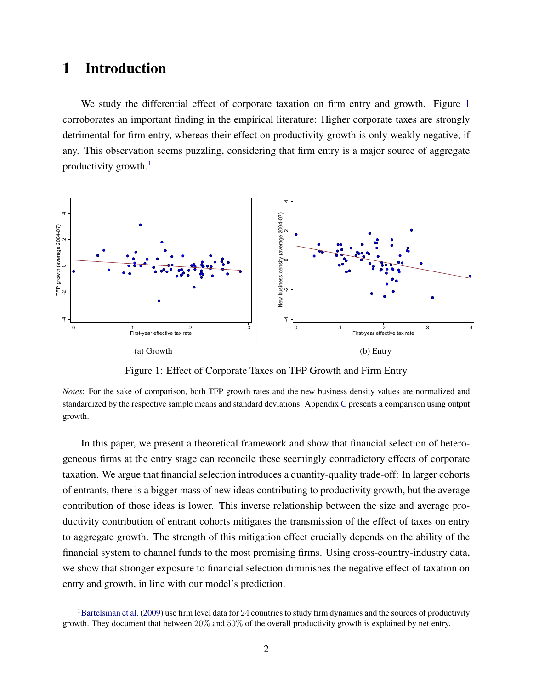# 1 Introduction

We study the differential effect of corporate taxation on firm entry and growth. Figure [1](#page-1-0) corroborates an important finding in the empirical literature: Higher corporate taxes are strongly detrimental for firm entry, whereas their effect on productivity growth is only weakly negative, if any. This observation seems puzzling, considering that firm entry is a major source of aggregate productivity growth. $<sup>1</sup>$  $<sup>1</sup>$  $<sup>1</sup>$ </sup>

<span id="page-1-0"></span>

Figure 1: Effect of Corporate Taxes on TFP Growth and Firm Entry

*Notes*: For the sake of comparison, both TFP growth rates and the new business density values are normalized and standardized by the respective sample means and standard deviations. Appendix [C](#page-40-0) presents a comparison using output growth.

In this paper, we present a theoretical framework and show that financial selection of heterogeneous firms at the entry stage can reconcile these seemingly contradictory effects of corporate taxation. We argue that financial selection introduces a quantity-quality trade-off: In larger cohorts of entrants, there is a bigger mass of new ideas contributing to productivity growth, but the average contribution of those ideas is lower. This inverse relationship between the size and average productivity contribution of entrant cohorts mitigates the transmission of the effect of taxes on entry to aggregate growth. The strength of this mitigation effect crucially depends on the ability of the financial system to channel funds to the most promising firms. Using cross-country-industry data, we show that stronger exposure to financial selection diminishes the negative effect of taxation on entry and growth, in line with our model's prediction.

<sup>&</sup>lt;sup>1</sup>[Bartelsman et al.](#page-25-0) [\(2009\)](#page-25-0) use firm level data for 24 countries to study firm dynamics and the sources of productivity growth. They document that between 20% and 50% of the overall productivity growth is explained by net entry.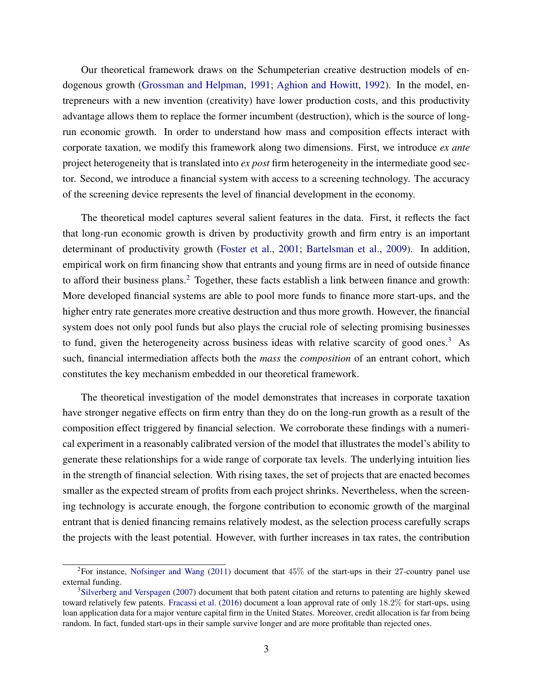Our theoretical framework draws on the Schumpeterian creative destruction models of endogenous growth [\(Grossman and Helpman,](#page-26-0) [1991;](#page-26-0) [Aghion and Howitt,](#page-25-1) [1992\)](#page-25-1). In the model, entrepreneurs with a new invention (creativity) have lower production costs, and this productivity advantage allows them to replace the former incumbent (destruction), which is the source of longrun economic growth. In order to understand how mass and composition effects interact with corporate taxation, we modify this framework along two dimensions. First, we introduce *ex ante* project heterogeneity that is translated into *ex post* firm heterogeneity in the intermediate good sector. Second, we introduce a financial system with access to a screening technology. The accuracy of the screening device represents the level of financial development in the economy.

The theoretical model captures several salient features in the data. First, it reflects the fact that long-run economic growth is driven by productivity growth and firm entry is an important determinant of productivity growth [\(Foster et al.,](#page-26-1) [2001;](#page-26-1) [Bartelsman et al.,](#page-25-0) [2009\)](#page-25-0). In addition, empirical work on firm financing show that entrants and young firms are in need of outside finance to afford their business plans.<sup>[2](#page-0-0)</sup> Together, these facts establish a link between finance and growth: More developed financial systems are able to pool more funds to finance more start-ups, and the higher entry rate generates more creative destruction and thus more growth. However, the financial system does not only pool funds but also plays the crucial role of selecting promising businesses to fund, given the heterogeneity across business ideas with relative scarcity of good ones.<sup>[3](#page-0-0)</sup> As such, financial intermediation affects both the *mass* the *composition* of an entrant cohort, which constitutes the key mechanism embedded in our theoretical framework.

The theoretical investigation of the model demonstrates that increases in corporate taxation have stronger negative effects on firm entry than they do on the long-run growth as a result of the composition effect triggered by financial selection. We corroborate these findings with a numerical experiment in a reasonably calibrated version of the model that illustrates the model's ability to generate these relationships for a wide range of corporate tax levels. The underlying intuition lies in the strength of financial selection. With rising taxes, the set of projects that are enacted becomes smaller as the expected stream of profits from each project shrinks. Nevertheless, when the screening technology is accurate enough, the forgone contribution to economic growth of the marginal entrant that is denied financing remains relatively modest, as the selection process carefully scraps the projects with the least potential. However, with further increases in tax rates, the contribution

<sup>&</sup>lt;sup>2</sup>For instance, [Nofsinger and Wang](#page-27-0) [\(2011\)](#page-27-0) document that  $45\%$  of the start-ups in their 27-country panel use external funding.

<sup>3</sup>[Silverberg and Verspagen](#page-27-1) [\(2007\)](#page-27-1) document that both patent citation and returns to patenting are highly skewed toward relatively few patents. [Fracassi et al.](#page-26-2) [\(2016\)](#page-26-2) document a loan approval rate of only 18.2% for start-ups, using loan application data for a major venture capital firm in the United States. Moreover, credit allocation is far from being random. In fact, funded start-ups in their sample survive longer and are more profitable than rejected ones.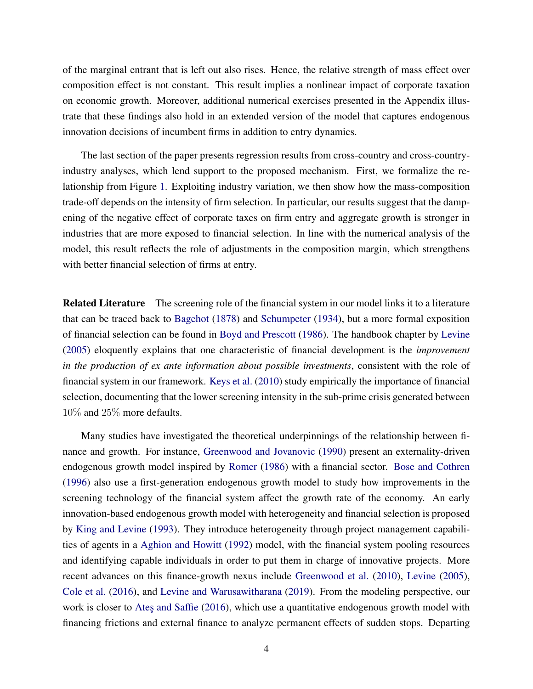of the marginal entrant that is left out also rises. Hence, the relative strength of mass effect over composition effect is not constant. This result implies a nonlinear impact of corporate taxation on economic growth. Moreover, additional numerical exercises presented in the Appendix illustrate that these findings also hold in an extended version of the model that captures endogenous innovation decisions of incumbent firms in addition to entry dynamics.

The last section of the paper presents regression results from cross-country and cross-countryindustry analyses, which lend support to the proposed mechanism. First, we formalize the relationship from Figure [1.](#page-1-0) Exploiting industry variation, we then show how the mass-composition trade-off depends on the intensity of firm selection. In particular, our results suggest that the dampening of the negative effect of corporate taxes on firm entry and aggregate growth is stronger in industries that are more exposed to financial selection. In line with the numerical analysis of the model, this result reflects the role of adjustments in the composition margin, which strengthens with better financial selection of firms at entry.

**Related Literature** The screening role of the financial system in our model links it to a literature that can be traced back to [Bagehot](#page-25-2) [\(1878\)](#page-25-2) and [Schumpeter](#page-27-2) [\(1934\)](#page-27-2), but a more formal exposition of financial selection can be found in [Boyd and Prescott](#page-25-3) [\(1986\)](#page-25-3). The handbook chapter by [Levine](#page-26-3) [\(2005\)](#page-26-3) eloquently explains that one characteristic of financial development is the *improvement in the production of ex ante information about possible investments*, consistent with the role of financial system in our framework. [Keys et al.](#page-26-4) [\(2010\)](#page-26-4) study empirically the importance of financial selection, documenting that the lower screening intensity in the sub-prime crisis generated between 10% and 25% more defaults.

Many studies have investigated the theoretical underpinnings of the relationship between finance and growth. For instance, [Greenwood and Jovanovic](#page-26-5) [\(1990\)](#page-26-5) present an externality-driven endogenous growth model inspired by [Romer](#page-27-3) [\(1986\)](#page-27-3) with a financial sector. [Bose and Cothren](#page-25-4) [\(1996\)](#page-25-4) also use a first-generation endogenous growth model to study how improvements in the screening technology of the financial system affect the growth rate of the economy. An early innovation-based endogenous growth model with heterogeneity and financial selection is proposed by [King and Levine](#page-26-6) [\(1993\)](#page-26-6). They introduce heterogeneity through project management capabilities of agents in a [Aghion and Howitt](#page-25-1) [\(1992\)](#page-25-1) model, with the financial system pooling resources and identifying capable individuals in order to put them in charge of innovative projects. More recent advances on this finance-growth nexus include [Greenwood et al.](#page-26-7) [\(2010\)](#page-26-7), [Levine](#page-26-3) [\(2005\)](#page-26-3), [Cole et al.](#page-25-5) [\(2016\)](#page-25-5), and [Levine and Warusawitharana](#page-26-8) [\(2019\)](#page-26-8). From the modeling perspective, our work is closer to Ates and Saffie [\(2016\)](#page-25-6), which use a quantitative endogenous growth model with financing frictions and external finance to analyze permanent effects of sudden stops. Departing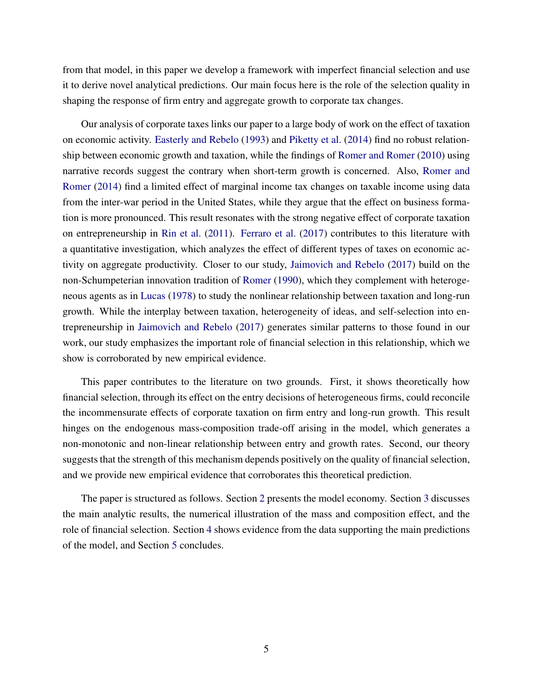from that model, in this paper we develop a framework with imperfect financial selection and use it to derive novel analytical predictions. Our main focus here is the role of the selection quality in shaping the response of firm entry and aggregate growth to corporate tax changes.

Our analysis of corporate taxes links our paper to a large body of work on the effect of taxation on economic activity. [Easterly and Rebelo](#page-26-9) [\(1993\)](#page-26-9) and [Piketty et al.](#page-27-4) [\(2014\)](#page-27-4) find no robust relationship between economic growth and taxation, while the findings of [Romer and Romer](#page-27-5) [\(2010\)](#page-27-5) using narrative records suggest the contrary when short-term growth is concerned. Also, [Romer and](#page-27-6) [Romer](#page-27-6) [\(2014\)](#page-27-6) find a limited effect of marginal income tax changes on taxable income using data from the inter-war period in the United States, while they argue that the effect on business formation is more pronounced. This result resonates with the strong negative effect of corporate taxation on entrepreneurship in [Rin et al.](#page-27-7) [\(2011\)](#page-27-7). [Ferraro et al.](#page-26-10) [\(2017\)](#page-26-10) contributes to this literature with a quantitative investigation, which analyzes the effect of different types of taxes on economic activity on aggregate productivity. Closer to our study, [Jaimovich and Rebelo](#page-26-11) [\(2017\)](#page-26-11) build on the non-Schumpeterian innovation tradition of [Romer](#page-27-8) [\(1990\)](#page-27-8), which they complement with heterogeneous agents as in [Lucas](#page-27-9) [\(1978\)](#page-27-9) to study the nonlinear relationship between taxation and long-run growth. While the interplay between taxation, heterogeneity of ideas, and self-selection into entrepreneurship in [Jaimovich and Rebelo](#page-26-11) [\(2017\)](#page-26-11) generates similar patterns to those found in our work, our study emphasizes the important role of financial selection in this relationship, which we show is corroborated by new empirical evidence.

This paper contributes to the literature on two grounds. First, it shows theoretically how financial selection, through its effect on the entry decisions of heterogeneous firms, could reconcile the incommensurate effects of corporate taxation on firm entry and long-run growth. This result hinges on the endogenous mass-composition trade-off arising in the model, which generates a non-monotonic and non-linear relationship between entry and growth rates. Second, our theory suggests that the strength of this mechanism depends positively on the quality of financial selection, and we provide new empirical evidence that corroborates this theoretical prediction.

The paper is structured as follows. Section [2](#page-5-0) presents the model economy. Section [3](#page-15-0) discusses the main analytic results, the numerical illustration of the mass and composition effect, and the role of financial selection. Section [4](#page-20-0) shows evidence from the data supporting the main predictions of the model, and Section [5](#page-24-0) concludes.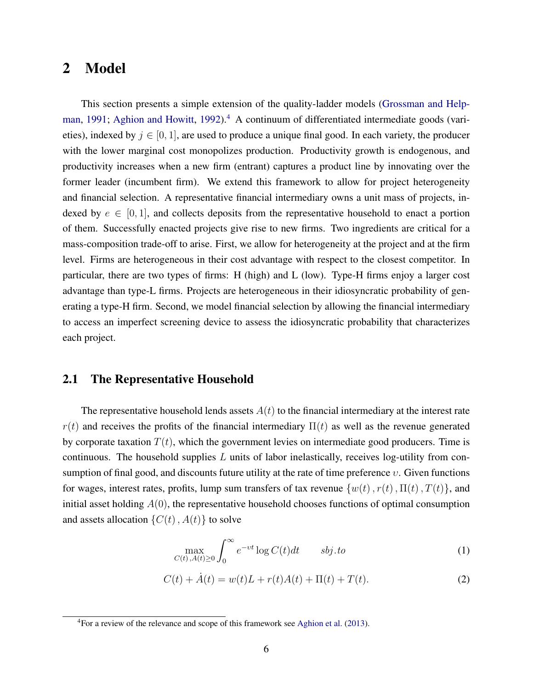### <span id="page-5-0"></span>2 Model

This section presents a simple extension of the quality-ladder models [\(Grossman and Help](#page-26-0)[man,](#page-26-0) [1991;](#page-26-0) [Aghion and Howitt,](#page-25-1) [1992\)](#page-25-1).<sup>[4](#page-0-0)</sup> A continuum of differentiated intermediate goods (varieties), indexed by  $j \in [0, 1]$ , are used to produce a unique final good. In each variety, the producer with the lower marginal cost monopolizes production. Productivity growth is endogenous, and productivity increases when a new firm (entrant) captures a product line by innovating over the former leader (incumbent firm). We extend this framework to allow for project heterogeneity and financial selection. A representative financial intermediary owns a unit mass of projects, indexed by  $e \in [0, 1]$ , and collects deposits from the representative household to enact a portion of them. Successfully enacted projects give rise to new firms. Two ingredients are critical for a mass-composition trade-off to arise. First, we allow for heterogeneity at the project and at the firm level. Firms are heterogeneous in their cost advantage with respect to the closest competitor. In particular, there are two types of firms: H (high) and L (low). Type-H firms enjoy a larger cost advantage than type-L firms. Projects are heterogeneous in their idiosyncratic probability of generating a type-H firm. Second, we model financial selection by allowing the financial intermediary to access an imperfect screening device to assess the idiosyncratic probability that characterizes each project.

#### 2.1 The Representative Household

The representative household lends assets  $A(t)$  to the financial intermediary at the interest rate  $r(t)$  and receives the profits of the financial intermediary  $\Pi(t)$  as well as the revenue generated by corporate taxation  $T(t)$ , which the government levies on intermediate good producers. Time is continuous. The household supplies  $L$  units of labor inelastically, receives log-utility from consumption of final good, and discounts future utility at the rate of time preference  $v$ . Given functions for wages, interest rates, profits, lump sum transfers of tax revenue  $\{w(t), r(t), \Pi(t), T(t)\}$ , and initial asset holding  $A(0)$ , the representative household chooses functions of optimal consumption and assets allocation  $\{C(t), A(t)\}\)$  to solve

<span id="page-5-2"></span><span id="page-5-1"></span>
$$
\max_{C(t), A(t) \ge 0} \int_0^\infty e^{-vt} \log C(t) dt \qquad s \, b \, j \, . \, to \tag{1}
$$

$$
C(t) + \dot{A}(t) = w(t)L + r(t)A(t) + \Pi(t) + T(t).
$$
\n(2)

<sup>4</sup>For a review of the relevance and scope of this framework see [Aghion et al.](#page-25-7) [\(2013\)](#page-25-7).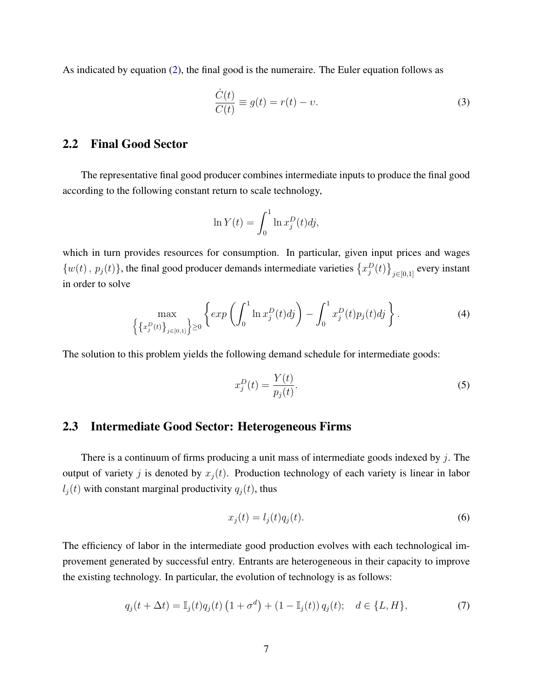As indicated by equation [\(2\)](#page-5-1), the final good is the numeraire. The Euler equation follows as

<span id="page-6-3"></span>
$$
\frac{\dot{C}(t)}{C(t)} \equiv g(t) = r(t) - v.
$$
\n(3)

### 2.2 Final Good Sector

The representative final good producer combines intermediate inputs to produce the final good according to the following constant return to scale technology,

$$
\ln Y(t) = \int_0^1 \ln x_j^D(t) dy,
$$

which in turn provides resources for consumption. In particular, given input prices and wages  $\{w(t), p_j(t)\}\$ , the final good producer demands intermediate varieties  $\{x_j^D(t)\}_{j\in[0,1]}$  every instant in order to solve

$$
\max_{\left\{\left\{x_j^D(t)\right\}_{j\in[0,1]}\right\}\geq 0} \left\{ \exp\left(\int_0^1 \ln x_j^D(t)dt\right) - \int_0^1 x_j^D(t)p_j(t)dt\right\}.
$$
 (4)

The solution to this problem yields the following demand schedule for intermediate goods:

<span id="page-6-0"></span>
$$
x_j^D(t) = \frac{Y(t)}{p_j(t)}.\tag{5}
$$

### 2.3 Intermediate Good Sector: Heterogeneous Firms

There is a continuum of firms producing a unit mass of intermediate goods indexed by  $j$ . The output of variety j is denoted by  $x_i(t)$ . Production technology of each variety is linear in labor  $l_i(t)$  with constant marginal productivity  $q_i(t)$ , thus

<span id="page-6-2"></span>
$$
x_j(t) = l_j(t)q_j(t). \tag{6}
$$

The efficiency of labor in the intermediate good production evolves with each technological improvement generated by successful entry. Entrants are heterogeneous in their capacity to improve the existing technology. In particular, the evolution of technology is as follows:

<span id="page-6-1"></span>
$$
q_j(t + \Delta t) = \mathbb{I}_j(t)q_j(t) \left(1 + \sigma^d\right) + \left(1 - \mathbb{I}_j(t)\right)q_j(t); \quad d \in \{L, H\},\tag{7}
$$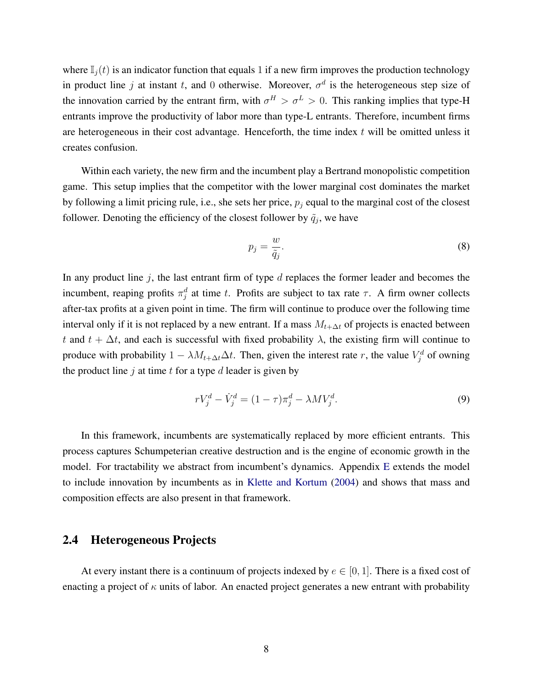where  $\mathbb{I}_i(t)$  is an indicator function that equals 1 if a new firm improves the production technology in product line j at instant t, and 0 otherwise. Moreover,  $\sigma^d$  is the heterogeneous step size of the innovation carried by the entrant firm, with  $\sigma^H > \sigma^L > 0$ . This ranking implies that type-H entrants improve the productivity of labor more than type-L entrants. Therefore, incumbent firms are heterogeneous in their cost advantage. Henceforth, the time index  $t$  will be omitted unless it creates confusion.

Within each variety, the new firm and the incumbent play a Bertrand monopolistic competition game. This setup implies that the competitor with the lower marginal cost dominates the market by following a limit pricing rule, i.e., she sets her price,  $p_i$  equal to the marginal cost of the closest follower. Denoting the efficiency of the closest follower by  $\tilde{q}_j$ , we have

<span id="page-7-1"></span><span id="page-7-0"></span>
$$
p_j = \frac{w}{\tilde{q}_j}.\tag{8}
$$

In any product line  $j$ , the last entrant firm of type  $d$  replaces the former leader and becomes the incumbent, reaping profits  $\pi_j^d$  at time t. Profits are subject to tax rate  $\tau$ . A firm owner collects after-tax profits at a given point in time. The firm will continue to produce over the following time interval only if it is not replaced by a new entrant. If a mass  $M_{t+\Delta t}$  of projects is enacted between t and  $t + \Delta t$ , and each is successful with fixed probability  $\lambda$ , the existing firm will continue to produce with probability  $1 - \lambda M_{t+\Delta t} \Delta t$ . Then, given the interest rate r, the value  $V_j^d$  of owning the product line  $j$  at time  $t$  for a type  $d$  leader is given by

$$
rV_j^d - \dot{V}_j^d = (1 - \tau)\pi_j^d - \lambda MV_j^d.
$$
\n
$$
(9)
$$

In this framework, incumbents are systematically replaced by more efficient entrants. This process captures Schumpeterian creative destruction and is the engine of economic growth in the model. For tractability we abstract from incumbent's dynamics. Appendix [E](#page-44-0) extends the model to include innovation by incumbents as in [Klette and Kortum](#page-26-12) [\(2004\)](#page-26-12) and shows that mass and composition effects are also present in that framework.

### 2.4 Heterogeneous Projects

At every instant there is a continuum of projects indexed by  $e \in [0, 1]$ . There is a fixed cost of enacting a project of  $\kappa$  units of labor. An enacted project generates a new entrant with probability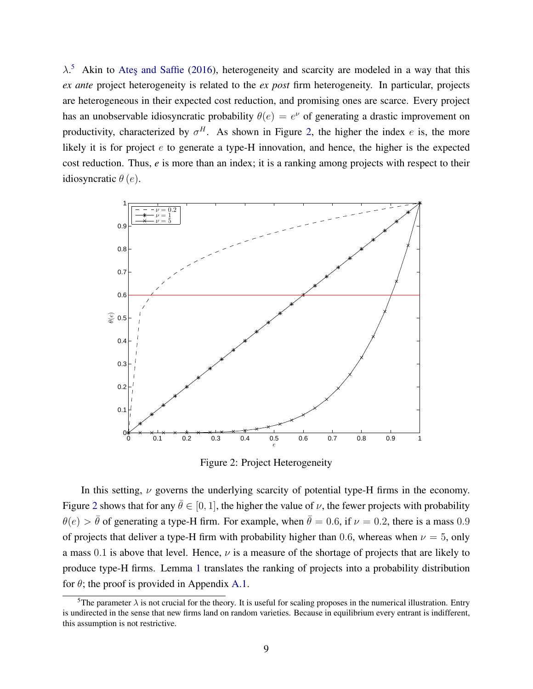$\lambda$ <sup>[5](#page-0-0)</sup> Akin to Ates and Saffie [\(2016\)](#page-25-6), heterogeneity and scarcity are modeled in a way that this *ex ante* project heterogeneity is related to the *ex post* firm heterogeneity. In particular, projects are heterogeneous in their expected cost reduction, and promising ones are scarce. Every project has an unobservable idiosyncratic probability  $\theta(e) = e^{\nu}$  of generating a drastic improvement on productivity, characterized by  $\sigma^H$ . As shown in Figure [2,](#page-8-0) the higher the index e is, the more likely it is for project  $e$  to generate a type-H innovation, and hence, the higher is the expected cost reduction. Thus, *e* is more than an index; it is a ranking among projects with respect to their idiosyncratic  $\theta(e)$ .

<span id="page-8-0"></span>

Figure 2: Project Heterogeneity

In this setting,  $\nu$  governs the underlying scarcity of potential type-H firms in the economy. Figure [2](#page-8-0) shows that for any  $\bar{\theta} \in [0, 1]$ , the higher the value of  $\nu$ , the fewer projects with probability  $\theta(e) > \bar{\theta}$  of generating a type-H firm. For example, when  $\bar{\theta} = 0.6$ , if  $\nu = 0.2$ , there is a mass 0.9 of projects that deliver a type-H firm with probability higher than 0.6, whereas when  $\nu = 5$ , only a mass 0.1 is above that level. Hence,  $\nu$  is a measure of the shortage of projects that are likely to produce type-H firms. Lemma [1](#page-9-0) translates the ranking of projects into a probability distribution for  $\theta$ ; the proof is provided in Appendix [A.1.](#page-28-0)

<sup>&</sup>lt;sup>5</sup>The parameter  $\lambda$  is not crucial for the theory. It is useful for scaling proposes in the numerical illustration. Entry is undirected in the sense that new firms land on random varieties. Because in equilibrium every entrant is indifferent, this assumption is not restrictive.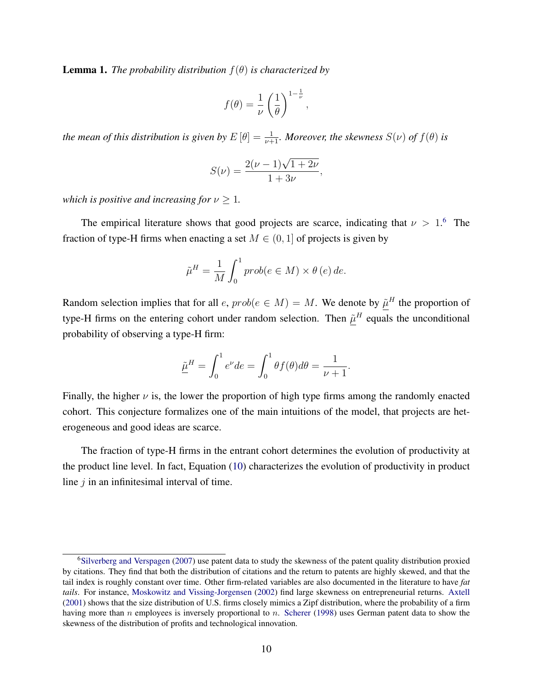<span id="page-9-0"></span>**Lemma 1.** *The probability distribution*  $f(\theta)$  *is characterized by* 

$$
f(\theta) = \frac{1}{\nu} \left(\frac{1}{\theta}\right)^{1-\frac{1}{\nu}},
$$

the mean of this distribution is given by  $E\left[\theta\right]=\frac{1}{\nu+1}$ . Moreover, the skewness  $S(\nu)$  of  $f(\theta)$  is

$$
S(\nu) = \frac{2(\nu - 1)\sqrt{1 + 2\nu}}{1 + 3\nu},
$$

*which is positive and increasing for*  $\nu \geq 1$ *.* 

The empirical literature shows that good projects are scarce, indicating that  $\nu > 1$ .<sup>[6](#page-0-0)</sup> The fraction of type-H firms when enacting a set  $M \in (0, 1]$  of projects is given by

$$
\tilde{\mu}^{H} = \frac{1}{M} \int_{0}^{1} prob(e \in M) \times \theta (e) de.
$$

Random selection implies that for all  $e$ ,  $prob(e \in M) = M$ . We denote by  $\underline{\tilde{\mu}}^H$  the proportion of type-H firms on the entering cohort under random selection. Then  $\tilde{\mu}^H$  equals the unconditional probability of observing a type-H firm:

$$
\underline{\tilde{\mu}}^H = \int_0^1 e^{\nu} de = \int_0^1 \theta f(\theta) d\theta = \frac{1}{\nu + 1}.
$$

Finally, the higher  $\nu$  is, the lower the proportion of high type firms among the randomly enacted cohort. This conjecture formalizes one of the main intuitions of the model, that projects are heterogeneous and good ideas are scarce.

The fraction of type-H firms in the entrant cohort determines the evolution of productivity at the product line level. In fact, Equation [\(10\)](#page-10-0) characterizes the evolution of productivity in product line  $j$  in an infinitesimal interval of time.

<sup>6</sup>[Silverberg and Verspagen](#page-27-1) [\(2007\)](#page-27-1) use patent data to study the skewness of the patent quality distribution proxied by citations. They find that both the distribution of citations and the return to patents are highly skewed, and that the tail index is roughly constant over time. Other firm-related variables are also documented in the literature to have *fat tails*. For instance, [Moskowitz and Vissing-Jorgensen](#page-27-10) [\(2002\)](#page-27-10) find large skewness on entrepreneurial returns. [Axtell](#page-25-8) [\(2001\)](#page-25-8) shows that the size distribution of U.S. firms closely mimics a Zipf distribution, where the probability of a firm having more than n employees is inversely proportional to n. [Scherer](#page-27-11) [\(1998\)](#page-27-11) uses German patent data to show the skewness of the distribution of profits and technological innovation.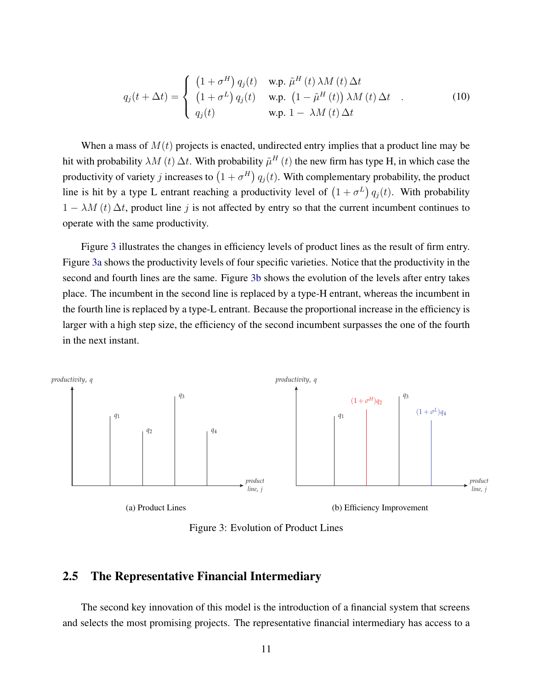<span id="page-10-0"></span>
$$
q_j(t + \Delta t) = \begin{cases} (1 + \sigma^H) q_j(t) & \text{w.p. } \tilde{\mu}^H(t) \,\lambda M(t) \,\Delta t \\ (1 + \sigma^L) q_j(t) & \text{w.p. } (1 - \tilde{\mu}^H(t)) \,\lambda M(t) \,\Delta t \\ q_j(t) & \text{w.p. } 1 - \lambda M(t) \,\Delta t \end{cases} \tag{10}
$$

When a mass of  $M(t)$  projects is enacted, undirected entry implies that a product line may be hit with probability  $\lambda M(t) \Delta t$ . With probability  $\tilde{\mu}^H(t)$  the new firm has type H, in which case the productivity of variety j increases to  $(1 + \sigma^H) q_j(t)$ . With complementary probability, the product line is hit by a type L entrant reaching a productivity level of  $(1 + \sigma^L) q_j(t)$ . With probability  $1 - \lambda M(t) \Delta t$ , product line j is not affected by entry so that the current incumbent continues to operate with the same productivity.

Figure [3](#page-10-1) illustrates the changes in efficiency levels of product lines as the result of firm entry. Figure [3a](#page-10-2) shows the productivity levels of four specific varieties. Notice that the productivity in the second and fourth lines are the same. Figure [3b](#page-10-3) shows the evolution of the levels after entry takes place. The incumbent in the second line is replaced by a type-H entrant, whereas the incumbent in the fourth line is replaced by a type-L entrant. Because the proportional increase in the efficiency is larger with a high step size, the efficiency of the second incumbent surpasses the one of the fourth in the next instant.

<span id="page-10-1"></span>

<span id="page-10-3"></span>Figure 3: Evolution of Product Lines

### <span id="page-10-2"></span>2.5 The Representative Financial Intermediary

The second key innovation of this model is the introduction of a financial system that screens and selects the most promising projects. The representative financial intermediary has access to a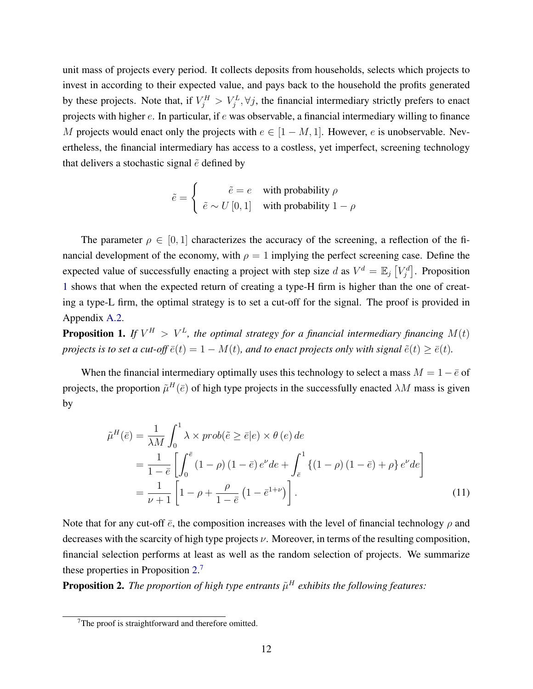unit mass of projects every period. It collects deposits from households, selects which projects to invest in according to their expected value, and pays back to the household the profits generated by these projects. Note that, if  $V_j^H > V_j^L$ ,  $\forall j$ , the financial intermediary strictly prefers to enact projects with higher e. In particular, if e was observable, a financial intermediary willing to finance M projects would enact only the projects with  $e \in [1 - M, 1]$ . However, e is unobservable. Nevertheless, the financial intermediary has access to a costless, yet imperfect, screening technology that delivers a stochastic signal  $\tilde{e}$  defined by

$$
\tilde{e} = \begin{cases}\n\tilde{e} = e & \text{with probability } \rho \\
\tilde{e} \sim U[0, 1] & \text{with probability } 1 - \rho\n\end{cases}
$$

The parameter  $\rho \in [0, 1]$  characterizes the accuracy of the screening, a reflection of the financial development of the economy, with  $\rho = 1$  implying the perfect screening case. Define the expected value of successfully enacting a project with step size d as  $V^d = \mathbb{E}_j[V_j^d]$ . Proposition [1](#page-11-0) shows that when the expected return of creating a type-H firm is higher than the one of creating a type-L firm, the optimal strategy is to set a cut-off for the signal. The proof is provided in Appendix [A.2.](#page-28-1)

<span id="page-11-0"></span>**Proposition 1.** If  $V^H > V^L$ , the optimal strategy for a financial intermediary financing  $M(t)$ *projects is to set a cut-off*  $\bar{e}(t) = 1 - M(t)$ *, and to enact projects only with signal*  $\tilde{e}(t) \geq \bar{e}(t)$ *.* 

When the financial intermediary optimally uses this technology to select a mass  $M = 1 - \bar{e}$  of projects, the proportion  $\tilde{\mu}^H(\bar{e})$  of high type projects in the successfully enacted  $\lambda M$  mass is given by

<span id="page-11-2"></span>
$$
\tilde{\mu}^{H}(\bar{e}) = \frac{1}{\lambda M} \int_{0}^{1} \lambda \times prob(\tilde{e} \ge \bar{e}|e) \times \theta(e) de
$$
\n
$$
= \frac{1}{1 - \bar{e}} \left[ \int_{0}^{\bar{e}} (1 - \rho) (1 - \bar{e}) e^{\nu} de + \int_{\bar{e}}^{1} \left\{ (1 - \rho) (1 - \bar{e}) + \rho \right\} e^{\nu} de \right]
$$
\n
$$
= \frac{1}{\nu + 1} \left[ 1 - \rho + \frac{\rho}{1 - \bar{e}} (1 - \bar{e}^{1 + \nu}) \right].
$$
\n(11)

Note that for any cut-off  $\bar{e}$ , the composition increases with the level of financial technology  $\rho$  and decreases with the scarcity of high type projects  $\nu$ . Moreover, in terms of the resulting composition, financial selection performs at least as well as the random selection of projects. We summarize these properties in Proposition [2.](#page-11-1) [7](#page-0-0)

<span id="page-11-1"></span>**Proposition 2.** The proportion of high type entrants  $\tilde{\mu}^H$  exhibits the following features:

<sup>&</sup>lt;sup>7</sup>The proof is straightforward and therefore omitted.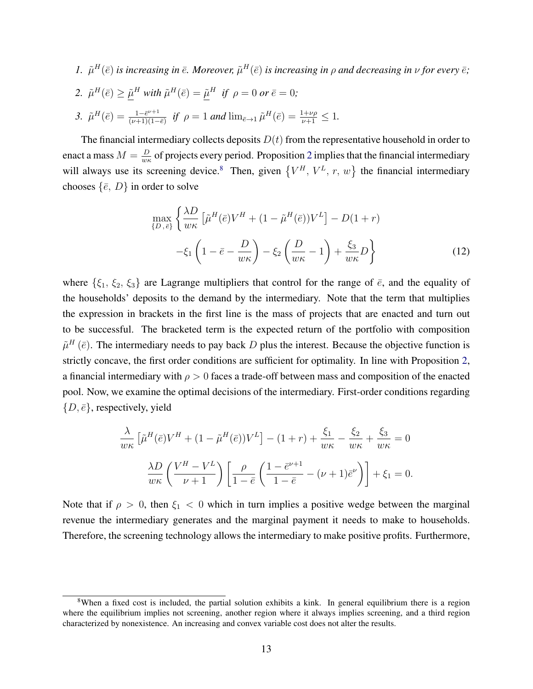1.  $\tilde{\mu}^H(\bar{e})$  is increasing in  $\bar{e}$ . Moreover,  $\tilde{\mu}^H(\bar{e})$  is increasing in  $\rho$  and decreasing in  $\nu$  for every  $\bar{e}$ ; 2.  $\tilde{\mu}^H(\bar{e}) \geq \underline{\tilde{\mu}}^H$  with  $\tilde{\mu}^H(\bar{e}) = \underline{\tilde{\mu}}^H$  if  $\rho = 0$  or  $\bar{e} = 0$ ; 3.  $\tilde{\mu}^H(\bar{e}) = \frac{1 - \bar{e}^{\nu+1}}{(\nu+1)(1 - \bar{e}^{\nu+1})}$  $\frac{1-e^{\nu+1}}{(\nu+1)(1-\bar{e})}$  *if*  $\rho = 1$  *and* lim<sub> $\bar{e} \to 1$   $\tilde{\mu}^H(\bar{e}) = \frac{1+\nu\rho}{\nu+1} \leq 1$ .</sub>

The financial intermediary collects deposits  $D(t)$  from the representative household in order to enact a mass  $M = \frac{D}{m}$  $\frac{D}{w_{\kappa}}$  of projects every period. Proposition [2](#page-11-1) implies that the financial intermediary will always use its screening device.<sup>[8](#page-0-0)</sup> Then, given  $\{V^H, V^L, r, w\}$  the financial intermediary chooses  $\{\bar{e}, D\}$  in order to solve

<span id="page-12-0"></span>
$$
\max_{\{D,\bar{e}\}} \left\{ \frac{\lambda D}{w\kappa} \left[ \tilde{\mu}^H(\bar{e}) V^H + (1 - \tilde{\mu}^H(\bar{e})) V^L \right] - D(1+r) -\xi_1 \left( 1 - \bar{e} - \frac{D}{w\kappa} \right) - \xi_2 \left( \frac{D}{w\kappa} - 1 \right) + \frac{\xi_3}{w\kappa} D \right\}
$$
(12)

where  $\{\xi_1, \xi_2, \xi_3\}$  are Lagrange multipliers that control for the range of  $\bar{e}$ , and the equality of the households' deposits to the demand by the intermediary. Note that the term that multiplies the expression in brackets in the first line is the mass of projects that are enacted and turn out to be successful. The bracketed term is the expected return of the portfolio with composition  $\tilde{\mu}^H(\bar{e})$ . The intermediary needs to pay back D plus the interest. Because the objective function is strictly concave, the first order conditions are sufficient for optimality. In line with Proposition [2,](#page-11-1) a financial intermediary with  $\rho > 0$  faces a trade-off between mass and composition of the enacted pool. Now, we examine the optimal decisions of the intermediary. First-order conditions regarding  $\{D, \overline{e}\}\$ , respectively, yield

$$
\frac{\lambda}{w\kappa} \left[ \tilde{\mu}^H(\bar{e}) V^H + (1 - \tilde{\mu}^H(\bar{e})) V^L \right] - (1 + r) + \frac{\xi_1}{w\kappa} - \frac{\xi_2}{w\kappa} + \frac{\xi_3}{w\kappa} = 0
$$

$$
\frac{\lambda D}{w\kappa} \left( \frac{V^H - V^L}{\nu + 1} \right) \left[ \frac{\rho}{1 - \bar{e}} \left( \frac{1 - \bar{e}^{\nu + 1}}{1 - \bar{e}} - (\nu + 1)\bar{e}^{\nu} \right) \right] + \xi_1 = 0.
$$

Note that if  $\rho > 0$ , then  $\xi_1 < 0$  which in turn implies a positive wedge between the marginal revenue the intermediary generates and the marginal payment it needs to make to households. Therefore, the screening technology allows the intermediary to make positive profits. Furthermore,

<sup>&</sup>lt;sup>8</sup>When a fixed cost is included, the partial solution exhibits a kink. In general equilibrium there is a region where the equilibrium implies not screening, another region where it always implies screening, and a third region characterized by nonexistence. An increasing and convex variable cost does not alter the results.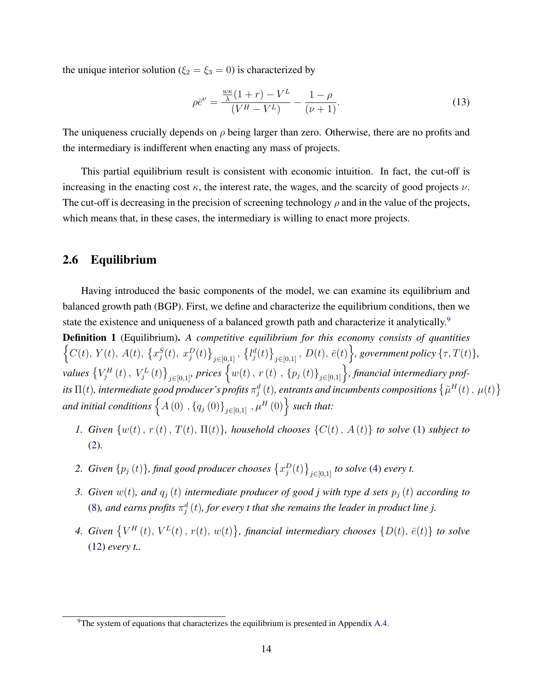the unique interior solution ( $\xi_2 = \xi_3 = 0$ ) is characterized by

<span id="page-13-0"></span>
$$
\rho \bar{e}^{\nu} = \frac{\frac{w\kappa}{\lambda}(1+r) - V^L}{(V^H - V^L)} - \frac{1-\rho}{(\nu+1)}.
$$
\n(13)

The uniqueness crucially depends on  $\rho$  being larger than zero. Otherwise, there are no profits and the intermediary is indifferent when enacting any mass of projects.

This partial equilibrium result is consistent with economic intuition. In fact, the cut-off is increasing in the enacting cost  $\kappa$ , the interest rate, the wages, and the scarcity of good projects  $\nu$ . The cut-off is decreasing in the precision of screening technology  $\rho$  and in the value of the projects, which means that, in these cases, the intermediary is willing to enact more projects.

#### 2.6 Equilibrium

Having introduced the basic components of the model, we can examine its equilibrium and balanced growth path (BGP). First, we define and characterize the equilibrium conditions, then we state the existence and uniqueness of a balanced growth path and characterize it analytically.<sup>[9](#page-0-0)</sup>

Definition 1 (Equilibrium). *A competitive equilibrium for this economy consists of quantities*  $\left\{C(t), Y(t), A(t), \{x_j^S(t), x_j^D(t)\}_{j \in [0,1]}, \{l_j^d(t)\}_{j \in [0,1]}, D(t), \bar{e}(t)\right\}$ , government policy  $\{\tau, T(t)\},$  $\{V_j^H(t), V_j^L(t)\}_{j\in[0,1]}$ , prices  $\{w(t), r(t), p_j(t)\}_{j\in[0,1]}\}$ , financial intermediary profits  $\Pi(t)$ , intermediate good producer's profits  $\pi_j^d\,(t)$ , entrants and incumbents compositions  $\left\{\tilde{\mu}^H(t)\,,\,\mu(t)\right\}$ and initial conditions  $\left\{A\left(0\right)$  ,  $\left\{q_{j}\left(0\right)\right\}_{j\in\left[0,1\right]}$  ,  $\mu^{H}\left(0\right)\right\}$  such that:

- *1. Given*  $\{w(t), r(t), T(t), \Pi(t)\}\$ , *household chooses*  $\{C(t), A(t)\}\$  *to solve* [\(1\)](#page-5-2) *subject to* [\(2\)](#page-5-1)*.*
- 2. *Given*  $\{p_j(t)\}$ , final good producer chooses  $\{x_j^D(t)\}_{j\in[0,1]}$  to solve [\(4\)](#page-6-0) every t.
- *3. Given*  $w(t)$ *, and*  $q_j(t)$  *intermediate producer of good j with type d sets*  $p_j(t)$  *according to* [\(8\)](#page-7-0), and earns profits  $\pi_j^d\left(t\right)$ , for every t that she remains the leader in product line j.
- 4. *Given*  $\{V^H(t), V^L(t), r(t), w(t)\}$ , *financial intermediary chooses*  $\{D(t), \bar{e}(t)\}$  *to solve* [\(12\)](#page-12-0) *every t..*

<sup>&</sup>lt;sup>9</sup>The system of equations that characterizes the equilibrium is presented in Appendix [A.4.](#page-29-0)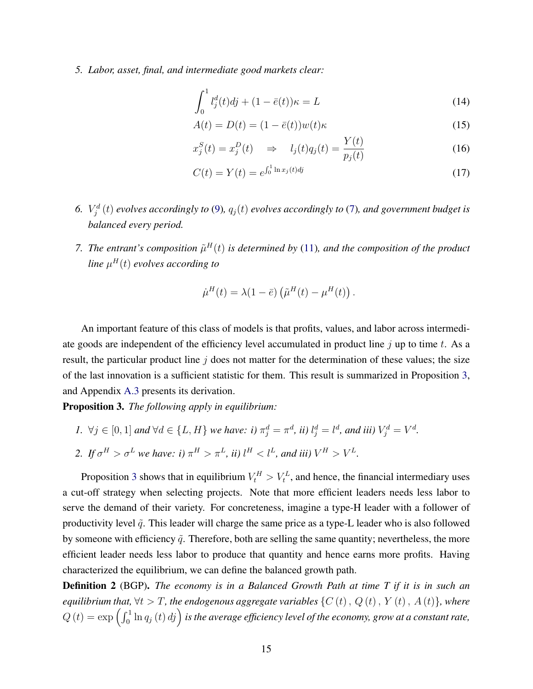*5. Labor, asset, final, and intermediate good markets clear:*

<span id="page-14-2"></span>
$$
\int_0^1 l_j^d(t)dj + (1 - \bar{e}(t))\kappa = L \tag{14}
$$

<span id="page-14-1"></span>
$$
A(t) = D(t) = (1 - \bar{e}(t))w(t)\kappa
$$
\n(15)

$$
x_j^S(t) = x_j^D(t) \quad \Rightarrow \quad l_j(t)q_j(t) = \frac{Y(t)}{p_j(t)}\tag{16}
$$

<span id="page-14-3"></span>
$$
C(t) = Y(t) = e^{\int_0^1 \ln x_j(t)dt}
$$
\n(17)

- 6.  $V_j^d(t)$  *evolves accordingly to* [\(9\)](#page-7-1),  $q_j(t)$  *evolves accordingly to* [\(7\)](#page-6-1), and government budget is *balanced every period.*
- 7. The entrant's composition  $\tilde{\mu}^H(t)$  is determined by [\(11\)](#page-11-2), and the composition of the product *line* µ <sup>H</sup>(t) *evolves according to*

$$
\dot{\mu}^H(t) = \lambda(1-\bar{e}) \left( \tilde{\mu}^H(t) - \mu^H(t) \right).
$$

An important feature of this class of models is that profits, values, and labor across intermediate goods are independent of the efficiency level accumulated in product line  $j$  up to time  $t$ . As a result, the particular product line  $j$  does not matter for the determination of these values; the size of the last innovation is a sufficient statistic for them. This result is summarized in Proposition [3,](#page-14-0) and Appendix [A.3](#page-29-1) presents its derivation.

<span id="page-14-0"></span>Proposition 3. *The following apply in equilibrium:*

- *1.*  $\forall j \in [0, 1]$  and  $\forall d \in \{L, H\}$  we have: i)  $\pi_j^d = \pi^d$ , ii)  $l_j^d = l^d$ , and iii)  $V_j^d = V^d$ .
- 2. If  $\sigma^H > \sigma^L$  we have: i)  $\pi^H > \pi^L$ , ii)  $l^H < l^L$ , and iii)  $V^H > V^L$ .

Proposition [3](#page-14-0) shows that in equilibrium  $V_t^H > V_t^L$ , and hence, the financial intermediary uses a cut-off strategy when selecting projects. Note that more efficient leaders needs less labor to serve the demand of their variety. For concreteness, imagine a type-H leader with a follower of productivity level  $\tilde{q}$ . This leader will charge the same price as a type-L leader who is also followed by someone with efficiency  $\tilde{q}$ . Therefore, both are selling the same quantity; nevertheless, the more efficient leader needs less labor to produce that quantity and hence earns more profits. Having characterized the equilibrium, we can define the balanced growth path.

Definition 2 (BGP). *The economy is in a Balanced Growth Path at time T if it is in such an equilibrium that,*  $\forall t > T$ *, the endogenous aggregate variables*  $\{C(t), Q(t), Y(t), A(t)\}$ *, where*  $Q(t) = \exp\left(\int_0^1 \ln q_j(t) \, d_j\right)$  is the average efficiency level of the economy, grow at a constant rate,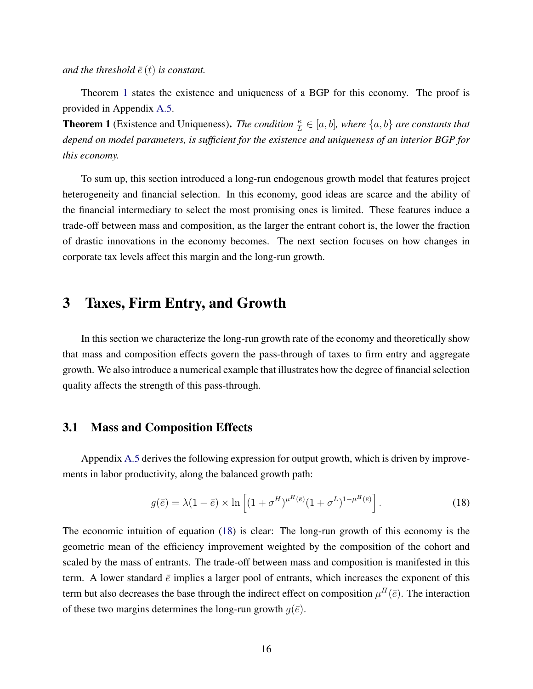*and the threshold*  $\bar{e}(t)$  *is constant.* 

Theorem [1](#page-15-1) states the existence and uniqueness of a BGP for this economy. The proof is provided in Appendix [A.5.](#page-32-0)

<span id="page-15-1"></span>**Theorem 1** (Existence and Uniqueness). *The condition*  $\frac{\kappa}{L} \in [a, b]$ , where  $\{a, b\}$  are constants that *depend on model parameters, is sufficient for the existence and uniqueness of an interior BGP for this economy.*

To sum up, this section introduced a long-run endogenous growth model that features project heterogeneity and financial selection. In this economy, good ideas are scarce and the ability of the financial intermediary to select the most promising ones is limited. These features induce a trade-off between mass and composition, as the larger the entrant cohort is, the lower the fraction of drastic innovations in the economy becomes. The next section focuses on how changes in corporate tax levels affect this margin and the long-run growth.

### <span id="page-15-0"></span>3 Taxes, Firm Entry, and Growth

In this section we characterize the long-run growth rate of the economy and theoretically show that mass and composition effects govern the pass-through of taxes to firm entry and aggregate growth. We also introduce a numerical example that illustrates how the degree of financial selection quality affects the strength of this pass-through.

### 3.1 Mass and Composition Effects

Appendix [A.5](#page-32-0) derives the following expression for output growth, which is driven by improvements in labor productivity, along the balanced growth path:

<span id="page-15-2"></span>
$$
g(\bar{e}) = \lambda (1 - \bar{e}) \times \ln \left[ (1 + \sigma^H)^{\mu^H(\bar{e})} (1 + \sigma^L)^{1 - \mu^H(\bar{e})} \right].
$$
 (18)

The economic intuition of equation [\(18\)](#page-15-2) is clear: The long-run growth of this economy is the geometric mean of the efficiency improvement weighted by the composition of the cohort and scaled by the mass of entrants. The trade-off between mass and composition is manifested in this term. A lower standard  $\bar{e}$  implies a larger pool of entrants, which increases the exponent of this term but also decreases the base through the indirect effect on composition  $\mu^H(\bar{e})$ . The interaction of these two margins determines the long-run growth  $g(\bar{e})$ .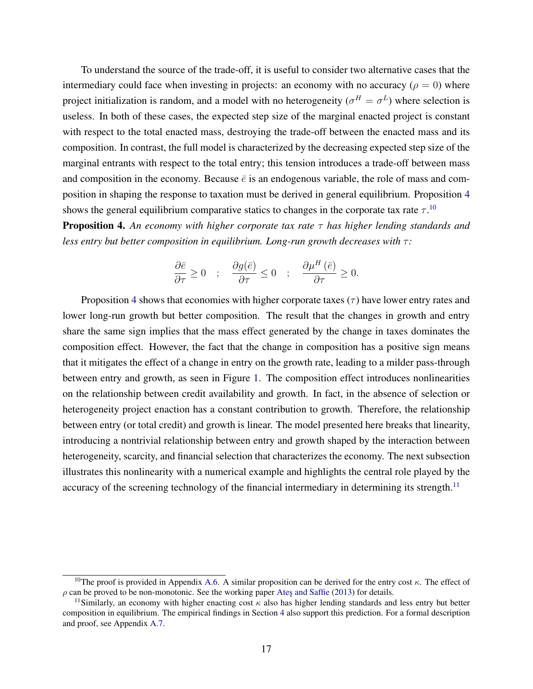To understand the source of the trade-off, it is useful to consider two alternative cases that the intermediary could face when investing in projects: an economy with no accuracy ( $\rho = 0$ ) where project initialization is random, and a model with no heterogeneity ( $\sigma^H = \sigma^L$ ) where selection is useless. In both of these cases, the expected step size of the marginal enacted project is constant with respect to the total enacted mass, destroying the trade-off between the enacted mass and its composition. In contrast, the full model is characterized by the decreasing expected step size of the marginal entrants with respect to the total entry; this tension introduces a trade-off between mass and composition in the economy. Because  $\bar{e}$  is an endogenous variable, the role of mass and composition in shaping the response to taxation must be derived in general equilibrium. Proposition [4](#page-16-0) shows the general equilibrium comparative statics to changes in the corporate tax rate  $\tau$ .<sup>[10](#page-0-0)</sup>

<span id="page-16-0"></span>Proposition 4. *An economy with higher corporate tax rate* τ *has higher lending standards and less entry but better composition in equilibrium. Long-run growth decreases with*  $τ$ *:* 

$$
\frac{\partial \bar{e}}{\partial \tau}\geq 0 \quad ; \quad \frac{\partial g(\bar{e})}{\partial \tau}\leq 0 \quad ; \quad \frac{\partial \mu^H\left(\bar{e}\right)}{\partial \tau}\geq 0.
$$

Proposition [4](#page-16-0) shows that economies with higher corporate taxes  $(\tau)$  have lower entry rates and lower long-run growth but better composition. The result that the changes in growth and entry share the same sign implies that the mass effect generated by the change in taxes dominates the composition effect. However, the fact that the change in composition has a positive sign means that it mitigates the effect of a change in entry on the growth rate, leading to a milder pass-through between entry and growth, as seen in Figure [1.](#page-1-0) The composition effect introduces nonlinearities on the relationship between credit availability and growth. In fact, in the absence of selection or heterogeneity project enaction has a constant contribution to growth. Therefore, the relationship between entry (or total credit) and growth is linear. The model presented here breaks that linearity, introducing a nontrivial relationship between entry and growth shaped by the interaction between heterogeneity, scarcity, and financial selection that characterizes the economy. The next subsection illustrates this nonlinearity with a numerical example and highlights the central role played by the accuracy of the screening technology of the financial intermediary in determining its strength.<sup>[11](#page-0-0)</sup>

<sup>&</sup>lt;sup>10</sup>The proof is provided in Appendix [A.6.](#page-35-0) A similar proposition can be derived for the entry cost  $\kappa$ . The effect of  $\rho$  can be proved to be non-monotonic. See the working paper Ates and Saffie [\(2013\)](#page-25-9) for details.

<sup>&</sup>lt;sup>11</sup>Similarly, an economy with higher enacting cost  $\kappa$  also has higher lending standards and less entry but better composition in equilibrium. The empirical findings in Section [4](#page-20-0) also support this prediction. For a formal description and proof, see Appendix [A.7.](#page-37-0)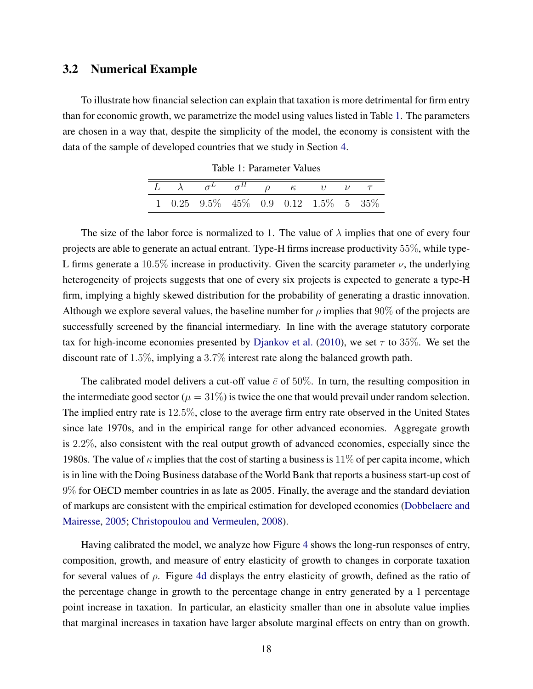### 3.2 Numerical Example

<span id="page-17-0"></span>To illustrate how financial selection can explain that taxation is more detrimental for firm entry than for economic growth, we parametrize the model using values listed in Table [1.](#page-17-0) The parameters are chosen in a way that, despite the simplicity of the model, the economy is consistent with the data of the sample of developed countries that we study in Section [4.](#page-20-0)

|  | $\overline{L} \quad \overline{\lambda} \quad \sigma^L \quad \sigma^H \quad \rho \quad \kappa \quad \upsilon \quad \nu \quad \tau$ |  |  |  |
|--|-----------------------------------------------------------------------------------------------------------------------------------|--|--|--|
|  | $1\quad 0.25\quad 9.5\% \quad 45\% \quad 0.9\quad 0.12\quad 1.5\% \quad 5\quad 35\%$                                              |  |  |  |

Table 1: Parameter Values

The size of the labor force is normalized to 1. The value of  $\lambda$  implies that one of every four projects are able to generate an actual entrant. Type-H firms increase productivity 55%, while type-L firms generate a 10.5% increase in productivity. Given the scarcity parameter  $\nu$ , the underlying heterogeneity of projects suggests that one of every six projects is expected to generate a type-H firm, implying a highly skewed distribution for the probability of generating a drastic innovation. Although we explore several values, the baseline number for  $\rho$  implies that 90% of the projects are successfully screened by the financial intermediary. In line with the average statutory corporate tax for high-income economies presented by [Djankov et al.](#page-25-10) [\(2010\)](#page-25-10), we set  $\tau$  to 35%. We set the discount rate of 1.5%, implying a 3.7% interest rate along the balanced growth path.

The calibrated model delivers a cut-off value  $\bar{e}$  of 50%. In turn, the resulting composition in the intermediate good sector ( $\mu = 31\%$ ) is twice the one that would prevail under random selection. The implied entry rate is 12.5%, close to the average firm entry rate observed in the United States since late 1970s, and in the empirical range for other advanced economies. Aggregate growth is 2.2%, also consistent with the real output growth of advanced economies, especially since the 1980s. The value of  $\kappa$  implies that the cost of starting a business is 11% of per capita income, which is in line with the Doing Business database of the World Bank that reports a business start-up cost of 9% for OECD member countries in as late as 2005. Finally, the average and the standard deviation of markups are consistent with the empirical estimation for developed economies [\(Dobbelaere and](#page-25-11) [Mairesse,](#page-25-11) [2005;](#page-25-11) [Christopoulou and Vermeulen,](#page-25-12) [2008\)](#page-25-12).

Having calibrated the model, we analyze how Figure [4](#page-18-0) shows the long-run responses of entry, composition, growth, and measure of entry elasticity of growth to changes in corporate taxation for several values of  $\rho$ . Figure [4d](#page-18-1) displays the entry elasticity of growth, defined as the ratio of the percentage change in growth to the percentage change in entry generated by a 1 percentage point increase in taxation. In particular, an elasticity smaller than one in absolute value implies that marginal increases in taxation have larger absolute marginal effects on entry than on growth.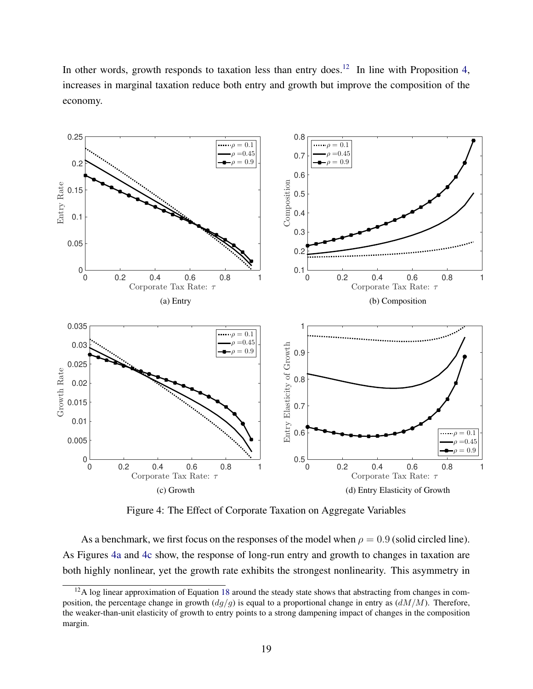In other words, growth responds to taxation less than entry does.<sup>[12](#page-0-0)</sup> In line with Proposition [4,](#page-16-0) increases in marginal taxation reduce both entry and growth but improve the composition of the economy.

<span id="page-18-2"></span><span id="page-18-0"></span>

<span id="page-18-4"></span><span id="page-18-1"></span>Figure 4: The Effect of Corporate Taxation on Aggregate Variables

<span id="page-18-3"></span>As a benchmark, we first focus on the responses of the model when  $\rho = 0.9$  (solid circled line). As Figures [4a](#page-18-2) and [4c](#page-18-3) show, the response of long-run entry and growth to changes in taxation are both highly nonlinear, yet the growth rate exhibits the strongest nonlinearity. This asymmetry in

<sup>&</sup>lt;sup>12</sup>A log linear approximation of Equation [18](#page-15-2) around the steady state shows that abstracting from changes in composition, the percentage change in growth  $(dg/g)$  is equal to a proportional change in entry as  $(dM/M)$ . Therefore, the weaker-than-unit elasticity of growth to entry points to a strong dampening impact of changes in the composition margin.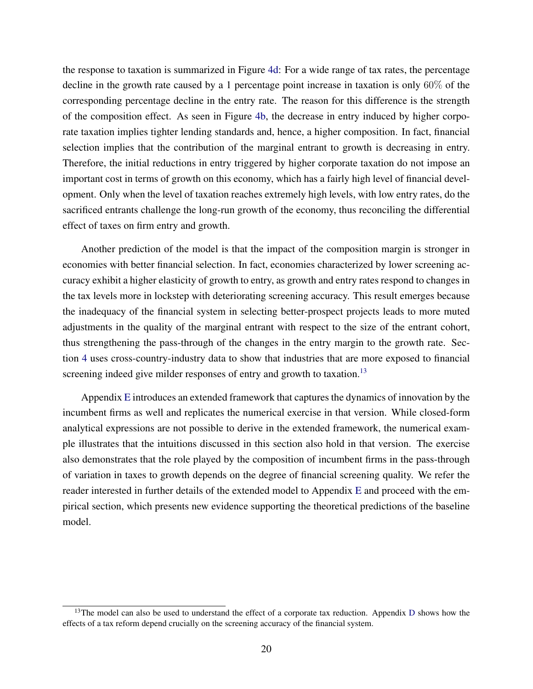the response to taxation is summarized in Figure [4d:](#page-18-1) For a wide range of tax rates, the percentage decline in the growth rate caused by a 1 percentage point increase in taxation is only 60% of the corresponding percentage decline in the entry rate. The reason for this difference is the strength of the composition effect. As seen in Figure [4b,](#page-18-4) the decrease in entry induced by higher corporate taxation implies tighter lending standards and, hence, a higher composition. In fact, financial selection implies that the contribution of the marginal entrant to growth is decreasing in entry. Therefore, the initial reductions in entry triggered by higher corporate taxation do not impose an important cost in terms of growth on this economy, which has a fairly high level of financial development. Only when the level of taxation reaches extremely high levels, with low entry rates, do the sacrificed entrants challenge the long-run growth of the economy, thus reconciling the differential effect of taxes on firm entry and growth.

Another prediction of the model is that the impact of the composition margin is stronger in economies with better financial selection. In fact, economies characterized by lower screening accuracy exhibit a higher elasticity of growth to entry, as growth and entry rates respond to changes in the tax levels more in lockstep with deteriorating screening accuracy. This result emerges because the inadequacy of the financial system in selecting better-prospect projects leads to more muted adjustments in the quality of the marginal entrant with respect to the size of the entrant cohort, thus strengthening the pass-through of the changes in the entry margin to the growth rate. Section [4](#page-20-0) uses cross-country-industry data to show that industries that are more exposed to financial screening indeed give milder responses of entry and growth to taxation.<sup>[13](#page-0-0)</sup>

Appendix [E](#page-44-0) introduces an extended framework that captures the dynamics of innovation by the incumbent firms as well and replicates the numerical exercise in that version. While closed-form analytical expressions are not possible to derive in the extended framework, the numerical example illustrates that the intuitions discussed in this section also hold in that version. The exercise also demonstrates that the role played by the composition of incumbent firms in the pass-through of variation in taxes to growth depends on the degree of financial screening quality. We refer the reader interested in further details of the extended model to Appendix [E](#page-44-0) and proceed with the empirical section, which presents new evidence supporting the theoretical predictions of the baseline model.

 $13$ The model can also be used to understand the effect of a corporate tax reduction. Appendix [D](#page-42-0) shows how the effects of a tax reform depend crucially on the screening accuracy of the financial system.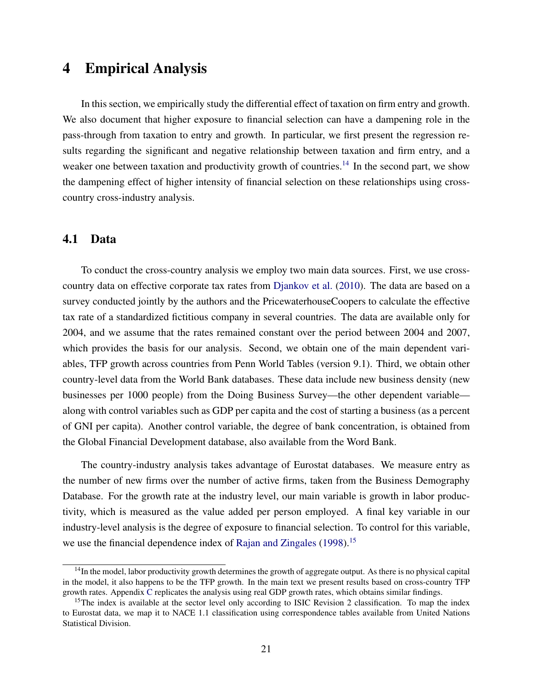## <span id="page-20-0"></span>4 Empirical Analysis

In this section, we empirically study the differential effect of taxation on firm entry and growth. We also document that higher exposure to financial selection can have a dampening role in the pass-through from taxation to entry and growth. In particular, we first present the regression results regarding the significant and negative relationship between taxation and firm entry, and a weaker one between taxation and productivity growth of countries.<sup>[14](#page-0-0)</sup> In the second part, we show the dampening effect of higher intensity of financial selection on these relationships using crosscountry cross-industry analysis.

#### 4.1 Data

To conduct the cross-country analysis we employ two main data sources. First, we use crosscountry data on effective corporate tax rates from [Djankov et al.](#page-25-10) [\(2010\)](#page-25-10). The data are based on a survey conducted jointly by the authors and the PricewaterhouseCoopers to calculate the effective tax rate of a standardized fictitious company in several countries. The data are available only for 2004, and we assume that the rates remained constant over the period between 2004 and 2007, which provides the basis for our analysis. Second, we obtain one of the main dependent variables, TFP growth across countries from Penn World Tables (version 9.1). Third, we obtain other country-level data from the World Bank databases. These data include new business density (new businesses per 1000 people) from the Doing Business Survey—the other dependent variable along with control variables such as GDP per capita and the cost of starting a business (as a percent of GNI per capita). Another control variable, the degree of bank concentration, is obtained from the Global Financial Development database, also available from the Word Bank.

The country-industry analysis takes advantage of Eurostat databases. We measure entry as the number of new firms over the number of active firms, taken from the Business Demography Database. For the growth rate at the industry level, our main variable is growth in labor productivity, which is measured as the value added per person employed. A final key variable in our industry-level analysis is the degree of exposure to financial selection. To control for this variable, we use the financial dependence index of [Rajan and Zingales](#page-27-12) [\(1998\)](#page-27-12).<sup>[15](#page-0-0)</sup>

 $14$ In the model, labor productivity growth determines the growth of aggregate output. As there is no physical capital in the model, it also happens to be the TFP growth. In the main text we present results based on cross-country TFP growth rates. Appendix [C](#page-40-0) replicates the analysis using real GDP growth rates, which obtains similar findings.

<sup>&</sup>lt;sup>15</sup>The index is available at the sector level only according to ISIC Revision 2 classification. To map the index to Eurostat data, we map it to NACE 1.1 classification using correspondence tables available from United Nations Statistical Division.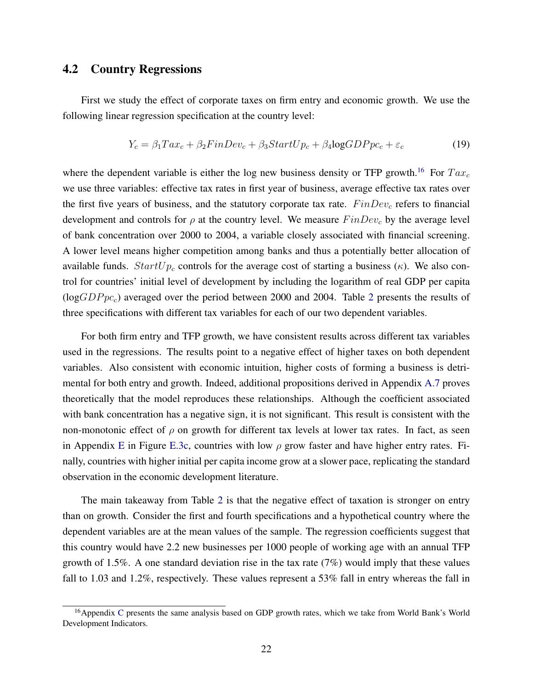### 4.2 Country Regressions

First we study the effect of corporate taxes on firm entry and economic growth. We use the following linear regression specification at the country level:

$$
Y_c = \beta_1 T a x_c + \beta_2 FinDev_c + \beta_3 StartUp_c + \beta_4 log GDPpc_c + \varepsilon_c \tag{19}
$$

where the dependent variable is either the log new business density or TFP growth.<sup>[16](#page-0-0)</sup> For  $Tax_c$ we use three variables: effective tax rates in first year of business, average effective tax rates over the first five years of business, and the statutory corporate tax rate.  $FinDev_c$  refers to financial development and controls for  $\rho$  at the country level. We measure  $FinDev_c$  by the average level of bank concentration over 2000 to 2004, a variable closely associated with financial screening. A lower level means higher competition among banks and thus a potentially better allocation of available funds.  $StartUp_c$  controls for the average cost of starting a business ( $\kappa$ ). We also control for countries' initial level of development by including the logarithm of real GDP per capita  $(logGDPpc<sub>c</sub>)$  averaged over the period between [2](#page-22-0)000 and 2004. Table 2 presents the results of three specifications with different tax variables for each of our two dependent variables.

For both firm entry and TFP growth, we have consistent results across different tax variables used in the regressions. The results point to a negative effect of higher taxes on both dependent variables. Also consistent with economic intuition, higher costs of forming a business is detrimental for both entry and growth. Indeed, additional propositions derived in Appendix [A.7](#page-37-0) proves theoretically that the model reproduces these relationships. Although the coefficient associated with bank concentration has a negative sign, it is not significant. This result is consistent with the non-monotonic effect of  $\rho$  on growth for different tax levels at lower tax rates. In fact, as seen in Appendix [E](#page-44-0) in Figure [E.3c,](#page-47-0) countries with low  $\rho$  grow faster and have higher entry rates. Finally, countries with higher initial per capita income grow at a slower pace, replicating the standard observation in the economic development literature.

The main takeaway from Table [2](#page-22-0) is that the negative effect of taxation is stronger on entry than on growth. Consider the first and fourth specifications and a hypothetical country where the dependent variables are at the mean values of the sample. The regression coefficients suggest that this country would have 2.2 new businesses per 1000 people of working age with an annual TFP growth of 1.5%. A one standard deviation rise in the tax rate  $(7%)$  would imply that these values fall to 1.03 and 1.2%, respectively. These values represent a 53% fall in entry whereas the fall in

<sup>&</sup>lt;sup>16</sup>Appendix [C](#page-40-0) presents the same analysis based on GDP growth rates, which we take from World Bank's World Development Indicators.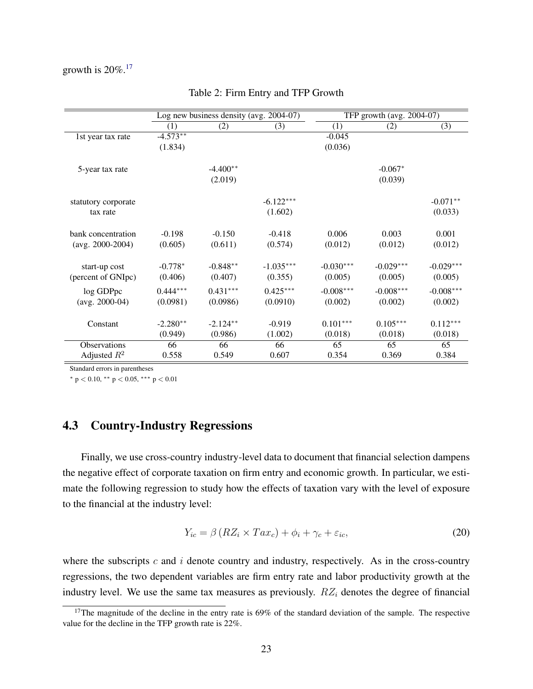### <span id="page-22-0"></span>growth is  $20\%$ .<sup>[17](#page-0-0)</sup>

|                     |                  | Log new business density (avg. 2004-07) |             |             | TFP growth (avg. 2004-07) |             |
|---------------------|------------------|-----------------------------------------|-------------|-------------|---------------------------|-------------|
|                     | $\left(1\right)$ | (2)                                     | (3)         | (1)         | (2)                       | (3)         |
| 1st year tax rate   | $-4.573**$       |                                         |             | $-0.045$    |                           |             |
|                     | (1.834)          |                                         |             | (0.036)     |                           |             |
|                     |                  |                                         |             |             |                           |             |
| 5-year tax rate     |                  | $-4.400**$                              |             |             | $-0.067*$                 |             |
|                     |                  | (2.019)                                 |             |             | (0.039)                   |             |
|                     |                  |                                         | $-6.122***$ |             |                           | $-0.071**$  |
| statutory corporate |                  |                                         |             |             |                           |             |
| tax rate            |                  |                                         | (1.602)     |             |                           | (0.033)     |
| bank concentration  | $-0.198$         | $-0.150$                                | $-0.418$    | 0.006       | 0.003                     | 0.001       |
| $(avg. 2000-2004)$  | (0.605)          | (0.611)                                 | (0.574)     | (0.012)     | (0.012)                   | (0.012)     |
|                     |                  |                                         |             |             |                           |             |
| start-up cost       | $-0.778*$        | $-0.848**$                              | $-1.035***$ | $-0.030***$ | $-0.029***$               | $-0.029***$ |
| (percent of GNIpc)  | (0.406)          | (0.407)                                 | (0.355)     | (0.005)     | (0.005)                   | (0.005)     |
| log GDPpc           | $0.444***$       | $0.431***$                              | $0.425***$  | $-0.008***$ | $-0.008***$               | $-0.008***$ |
| $(avg. 2000-04)$    | (0.0981)         | (0.0986)                                | (0.0910)    | (0.002)     | (0.002)                   | (0.002)     |
|                     |                  |                                         |             |             |                           |             |
| Constant            | $-2.280**$       | $-2.124**$                              | $-0.919$    | $0.101***$  | $0.105***$                | $0.112***$  |
|                     | (0.949)          | (0.986)                                 | (1.002)     | (0.018)     | (0.018)                   | (0.018)     |
| <b>Observations</b> | 66               | 66                                      | 66          | 65          | 65                        | 65          |
| Adjusted $R^2$      | 0.558            | 0.549                                   | 0.607       | 0.354       | 0.369                     | 0.384       |

#### Table 2: Firm Entry and TFP Growth

Standard errors in parentheses

<sup>∗</sup> p < 0.10, ∗∗ p < 0.05, ∗∗∗ p < 0.01

### 4.3 Country-Industry Regressions

Finally, we use cross-country industry-level data to document that financial selection dampens the negative effect of corporate taxation on firm entry and economic growth. In particular, we estimate the following regression to study how the effects of taxation vary with the level of exposure to the financial at the industry level:

$$
Y_{ic} = \beta \left( RZ_i \times Tax_c \right) + \phi_i + \gamma_c + \varepsilon_{ic},\tag{20}
$$

where the subscripts  $c$  and  $i$  denote country and industry, respectively. As in the cross-country regressions, the two dependent variables are firm entry rate and labor productivity growth at the industry level. We use the same tax measures as previously.  $RZ_i$  denotes the degree of financial

 $17$ The magnitude of the decline in the entry rate is 69% of the standard deviation of the sample. The respective value for the decline in the TFP growth rate is 22%.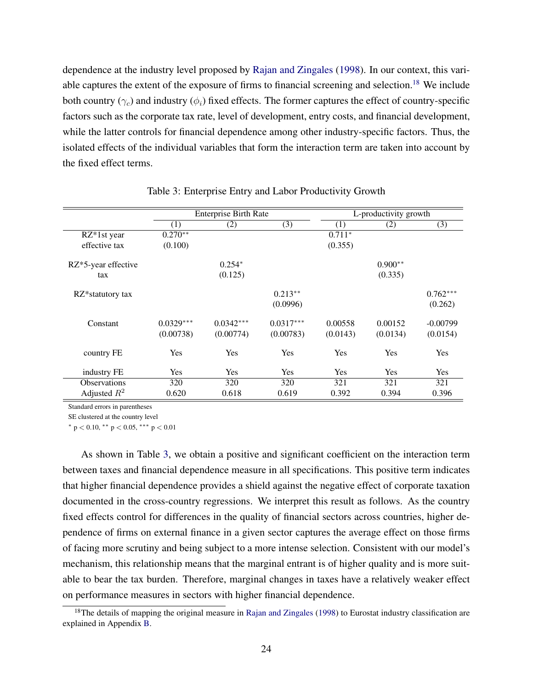dependence at the industry level proposed by [Rajan and Zingales](#page-27-12) [\(1998\)](#page-27-12). In our context, this vari-able captures the extent of the exposure of firms to financial screening and selection.<sup>[18](#page-0-0)</sup> We include both country  $(\gamma_c)$  and industry  $(\phi_i)$  fixed effects. The former captures the effect of country-specific factors such as the corporate tax rate, level of development, entry costs, and financial development, while the latter controls for financial dependence among other industry-specific factors. Thus, the isolated effects of the individual variables that form the interaction term are taken into account by the fixed effect terms.

<span id="page-23-0"></span>

|                     |                  | <b>Enterprise Birth Rate</b> |             |            | L-productivity growth |            |  |  |
|---------------------|------------------|------------------------------|-------------|------------|-----------------------|------------|--|--|
|                     | $\left(1\right)$ | (2)                          | (3)         | (1)        | (2)                   | (3)        |  |  |
| $RZ^*1st$ year      | $0.270**$        |                              |             | $0.711*$   |                       |            |  |  |
| effective tax       | (0.100)          |                              |             | (0.355)    |                       |            |  |  |
| RZ*5-year effective |                  | $0.254*$                     |             |            | $0.900**$             |            |  |  |
| tax                 |                  | (0.125)                      |             |            | (0.335)               |            |  |  |
| RZ*statutory tax    |                  |                              | $0.213**$   |            |                       | $0.762***$ |  |  |
|                     |                  |                              | (0.0996)    |            |                       | (0.262)    |  |  |
| Constant            | $0.0329***$      | $0.0342***$                  | $0.0317***$ | 0.00558    | 0.00152               | $-0.00799$ |  |  |
|                     | (0.00738)        | (0.00774)                    | (0.00783)   | (0.0143)   | (0.0134)              | (0.0154)   |  |  |
| country FE          | <b>Yes</b>       | Yes                          | Yes         | Yes        | Yes                   | Yes        |  |  |
| industry FE         | Yes              | Yes                          | Yes         | <b>Yes</b> | Yes                   | Yes        |  |  |
| <b>Observations</b> | 320              | 320                          | 320         | 321        | 321                   | 321        |  |  |
| Adjusted $R^2$      | 0.620            | 0.618                        | 0.619       | 0.392      | 0.394                 | 0.396      |  |  |

Table 3: Enterprise Entry and Labor Productivity Growth

Standard errors in parentheses

SE clustered at the country level

 $*$  p < 0.10,  $*$  p < 0.05,  $*$  + p < 0.01

As shown in Table [3,](#page-23-0) we obtain a positive and significant coefficient on the interaction term between taxes and financial dependence measure in all specifications. This positive term indicates that higher financial dependence provides a shield against the negative effect of corporate taxation documented in the cross-country regressions. We interpret this result as follows. As the country fixed effects control for differences in the quality of financial sectors across countries, higher dependence of firms on external finance in a given sector captures the average effect on those firms of facing more scrutiny and being subject to a more intense selection. Consistent with our model's mechanism, this relationship means that the marginal entrant is of higher quality and is more suitable to bear the tax burden. Therefore, marginal changes in taxes have a relatively weaker effect on performance measures in sectors with higher financial dependence.

 $18$ The details of mapping the original measure in [Rajan and Zingales](#page-27-12) [\(1998\)](#page-27-12) to Eurostat industry classification are explained in Appendix [B.](#page-38-0)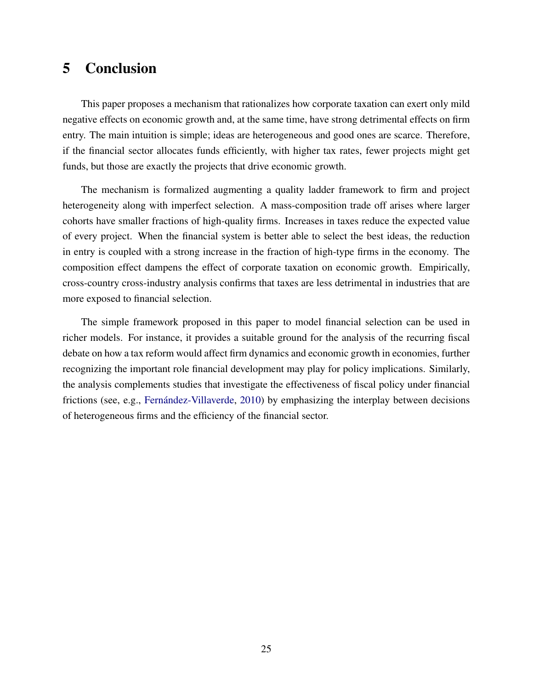# <span id="page-24-0"></span>5 Conclusion

This paper proposes a mechanism that rationalizes how corporate taxation can exert only mild negative effects on economic growth and, at the same time, have strong detrimental effects on firm entry. The main intuition is simple; ideas are heterogeneous and good ones are scarce. Therefore, if the financial sector allocates funds efficiently, with higher tax rates, fewer projects might get funds, but those are exactly the projects that drive economic growth.

The mechanism is formalized augmenting a quality ladder framework to firm and project heterogeneity along with imperfect selection. A mass-composition trade off arises where larger cohorts have smaller fractions of high-quality firms. Increases in taxes reduce the expected value of every project. When the financial system is better able to select the best ideas, the reduction in entry is coupled with a strong increase in the fraction of high-type firms in the economy. The composition effect dampens the effect of corporate taxation on economic growth. Empirically, cross-country cross-industry analysis confirms that taxes are less detrimental in industries that are more exposed to financial selection.

The simple framework proposed in this paper to model financial selection can be used in richer models. For instance, it provides a suitable ground for the analysis of the recurring fiscal debate on how a tax reform would affect firm dynamics and economic growth in economies, further recognizing the important role financial development may play for policy implications. Similarly, the analysis complements studies that investigate the effectiveness of fiscal policy under financial frictions (see, e.g., Fernández-Villaverde, [2010\)](#page-26-13) by emphasizing the interplay between decisions of heterogeneous firms and the efficiency of the financial sector.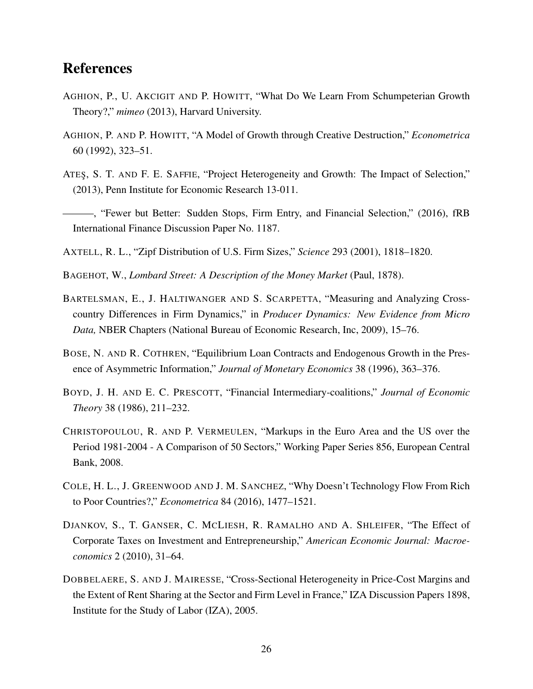# **References**

- <span id="page-25-7"></span>AGHION, P., U. AKCIGIT AND P. HOWITT, "What Do We Learn From Schumpeterian Growth Theory?," *mimeo* (2013), Harvard University.
- <span id="page-25-1"></span>AGHION, P. AND P. HOWITT, "A Model of Growth through Creative Destruction," *Econometrica* 60 (1992), 323–51.
- <span id="page-25-9"></span>ATES¸, S. T. AND F. E. SAFFIE, "Project Heterogeneity and Growth: The Impact of Selection," (2013), Penn Institute for Economic Research 13-011.
- <span id="page-25-6"></span>———, "Fewer but Better: Sudden Stops, Firm Entry, and Financial Selection," (2016), fRB International Finance Discussion Paper No. 1187.
- <span id="page-25-8"></span>AXTELL, R. L., "Zipf Distribution of U.S. Firm Sizes," *Science* 293 (2001), 1818–1820.
- <span id="page-25-2"></span>BAGEHOT, W., *Lombard Street: A Description of the Money Market* (Paul, 1878).
- <span id="page-25-0"></span>BARTELSMAN, E., J. HALTIWANGER AND S. SCARPETTA, "Measuring and Analyzing Crosscountry Differences in Firm Dynamics," in *Producer Dynamics: New Evidence from Micro Data,* NBER Chapters (National Bureau of Economic Research, Inc, 2009), 15–76.
- <span id="page-25-4"></span>BOSE, N. AND R. COTHREN, "Equilibrium Loan Contracts and Endogenous Growth in the Presence of Asymmetric Information," *Journal of Monetary Economics* 38 (1996), 363–376.
- <span id="page-25-3"></span>BOYD, J. H. AND E. C. PRESCOTT, "Financial Intermediary-coalitions," *Journal of Economic Theory* 38 (1986), 211–232.
- <span id="page-25-12"></span>CHRISTOPOULOU, R. AND P. VERMEULEN, "Markups in the Euro Area and the US over the Period 1981-2004 - A Comparison of 50 Sectors," Working Paper Series 856, European Central Bank, 2008.
- <span id="page-25-5"></span>COLE, H. L., J. GREENWOOD AND J. M. SANCHEZ, "Why Doesn't Technology Flow From Rich to Poor Countries?," *Econometrica* 84 (2016), 1477–1521.
- <span id="page-25-10"></span>DJANKOV, S., T. GANSER, C. MCLIESH, R. RAMALHO AND A. SHLEIFER, "The Effect of Corporate Taxes on Investment and Entrepreneurship," *American Economic Journal: Macroeconomics* 2 (2010), 31–64.
- <span id="page-25-11"></span>DOBBELAERE, S. AND J. MAIRESSE, "Cross-Sectional Heterogeneity in Price-Cost Margins and the Extent of Rent Sharing at the Sector and Firm Level in France," IZA Discussion Papers 1898, Institute for the Study of Labor (IZA), 2005.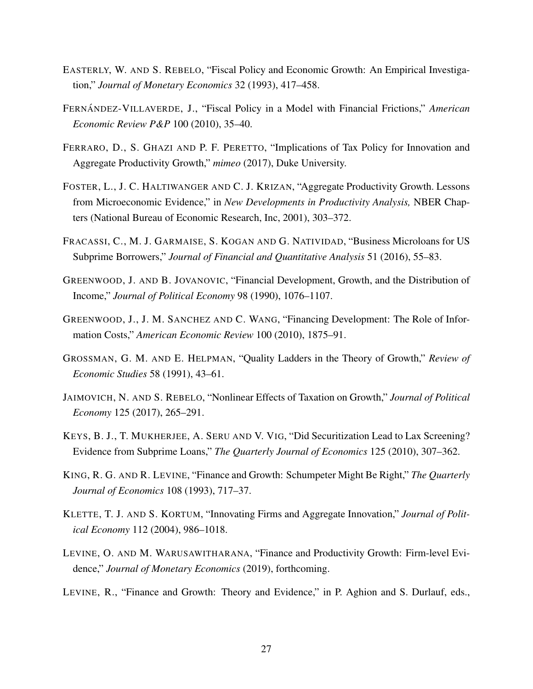- <span id="page-26-9"></span>EASTERLY, W. AND S. REBELO, "Fiscal Policy and Economic Growth: An Empirical Investigation," *Journal of Monetary Economics* 32 (1993), 417–458.
- <span id="page-26-13"></span>FERNANDEZ-VILLAVERDE, J., "Fiscal Policy in a Model with Financial Frictions," *American Economic Review P&P* 100 (2010), 35–40.
- <span id="page-26-10"></span>FERRARO, D., S. GHAZI AND P. F. PERETTO, "Implications of Tax Policy for Innovation and Aggregate Productivity Growth," *mimeo* (2017), Duke University.
- <span id="page-26-1"></span>FOSTER, L., J. C. HALTIWANGER AND C. J. KRIZAN, "Aggregate Productivity Growth. Lessons from Microeconomic Evidence," in *New Developments in Productivity Analysis,* NBER Chapters (National Bureau of Economic Research, Inc, 2001), 303–372.
- <span id="page-26-2"></span>FRACASSI, C., M. J. GARMAISE, S. KOGAN AND G. NATIVIDAD, "Business Microloans for US Subprime Borrowers," *Journal of Financial and Quantitative Analysis* 51 (2016), 55–83.
- <span id="page-26-5"></span>GREENWOOD, J. AND B. JOVANOVIC, "Financial Development, Growth, and the Distribution of Income," *Journal of Political Economy* 98 (1990), 1076–1107.
- <span id="page-26-7"></span>GREENWOOD, J., J. M. SANCHEZ AND C. WANG, "Financing Development: The Role of Information Costs," *American Economic Review* 100 (2010), 1875–91.
- <span id="page-26-0"></span>GROSSMAN, G. M. AND E. HELPMAN, "Quality Ladders in the Theory of Growth," *Review of Economic Studies* 58 (1991), 43–61.
- <span id="page-26-11"></span>JAIMOVICH, N. AND S. REBELO, "Nonlinear Effects of Taxation on Growth," *Journal of Political Economy* 125 (2017), 265–291.
- <span id="page-26-4"></span>KEYS, B. J., T. MUKHERJEE, A. SERU AND V. VIG, "Did Securitization Lead to Lax Screening? Evidence from Subprime Loans," *The Quarterly Journal of Economics* 125 (2010), 307–362.
- <span id="page-26-6"></span>KING, R. G. AND R. LEVINE, "Finance and Growth: Schumpeter Might Be Right," *The Quarterly Journal of Economics* 108 (1993), 717–37.
- <span id="page-26-12"></span>KLETTE, T. J. AND S. KORTUM, "Innovating Firms and Aggregate Innovation," *Journal of Political Economy* 112 (2004), 986–1018.
- <span id="page-26-8"></span>LEVINE, O. AND M. WARUSAWITHARANA, "Finance and Productivity Growth: Firm-level Evidence," *Journal of Monetary Economics* (2019), forthcoming.
- <span id="page-26-3"></span>LEVINE, R., "Finance and Growth: Theory and Evidence," in P. Aghion and S. Durlauf, eds.,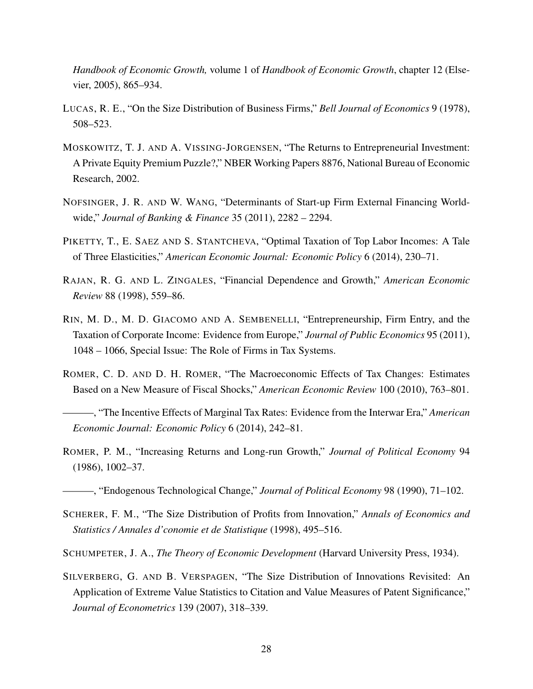*Handbook of Economic Growth,* volume 1 of *Handbook of Economic Growth*, chapter 12 (Elsevier, 2005), 865–934.

- <span id="page-27-9"></span>LUCAS, R. E., "On the Size Distribution of Business Firms," *Bell Journal of Economics* 9 (1978), 508–523.
- <span id="page-27-10"></span>MOSKOWITZ, T. J. AND A. VISSING-JORGENSEN, "The Returns to Entrepreneurial Investment: A Private Equity Premium Puzzle?," NBER Working Papers 8876, National Bureau of Economic Research, 2002.
- <span id="page-27-0"></span>NOFSINGER, J. R. AND W. WANG, "Determinants of Start-up Firm External Financing Worldwide," *Journal of Banking & Finance* 35 (2011), 2282 – 2294.
- <span id="page-27-4"></span>PIKETTY, T., E. SAEZ AND S. STANTCHEVA, "Optimal Taxation of Top Labor Incomes: A Tale of Three Elasticities," *American Economic Journal: Economic Policy* 6 (2014), 230–71.
- <span id="page-27-12"></span>RAJAN, R. G. AND L. ZINGALES, "Financial Dependence and Growth," *American Economic Review* 88 (1998), 559–86.
- <span id="page-27-7"></span>RIN, M. D., M. D. GIACOMO AND A. SEMBENELLI, "Entrepreneurship, Firm Entry, and the Taxation of Corporate Income: Evidence from Europe," *Journal of Public Economics* 95 (2011), 1048 – 1066, Special Issue: The Role of Firms in Tax Systems.
- <span id="page-27-5"></span>ROMER, C. D. AND D. H. ROMER, "The Macroeconomic Effects of Tax Changes: Estimates Based on a New Measure of Fiscal Shocks," *American Economic Review* 100 (2010), 763–801.
- <span id="page-27-6"></span>———, "The Incentive Effects of Marginal Tax Rates: Evidence from the Interwar Era," *American Economic Journal: Economic Policy* 6 (2014), 242–81.
- <span id="page-27-3"></span>ROMER, P. M., "Increasing Returns and Long-run Growth," *Journal of Political Economy* 94 (1986), 1002–37.
- <span id="page-27-8"></span>———, "Endogenous Technological Change," *Journal of Political Economy* 98 (1990), 71–102.
- <span id="page-27-11"></span>SCHERER, F. M., "The Size Distribution of Profits from Innovation," *Annals of Economics and Statistics / Annales d'conomie et de Statistique* (1998), 495–516.
- <span id="page-27-2"></span>SCHUMPETER, J. A., *The Theory of Economic Development* (Harvard University Press, 1934).
- <span id="page-27-1"></span>SILVERBERG, G. AND B. VERSPAGEN, "The Size Distribution of Innovations Revisited: An Application of Extreme Value Statistics to Citation and Value Measures of Patent Significance," *Journal of Econometrics* 139 (2007), 318–339.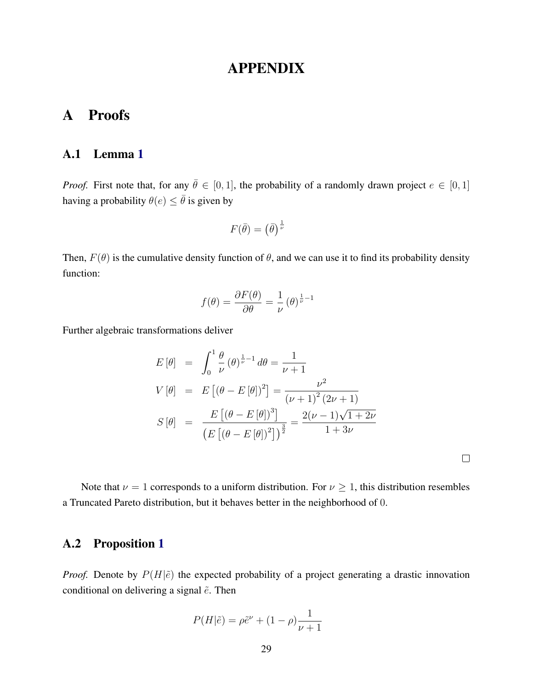## APPENDIX

# A Proofs

### <span id="page-28-0"></span>A.1 Lemma [1](#page-9-0)

*Proof.* First note that, for any  $\bar{\theta} \in [0, 1]$ , the probability of a randomly drawn project  $e \in [0, 1]$ having a probability  $\theta(e) \leq \overline{\theta}$  is given by

$$
F(\bar{\theta}) = \left(\bar{\theta}\right)^{\frac{1}{\nu}}
$$

Then,  $F(\theta)$  is the cumulative density function of  $\theta$ , and we can use it to find its probability density function:

$$
f(\theta) = \frac{\partial F(\theta)}{\partial \theta} = \frac{1}{\nu} (\theta)^{\frac{1}{\nu} - 1}
$$

Further algebraic transformations deliver

$$
E[\theta] = \int_0^1 \frac{\theta}{\nu} (\theta)^{\frac{1}{\nu}-1} d\theta = \frac{1}{\nu+1}
$$
  
\n
$$
V[\theta] = E[(\theta - E[\theta])^2] = \frac{\nu^2}{(\nu+1)^2 (2\nu+1)}
$$
  
\n
$$
S[\theta] = \frac{E[(\theta - E[\theta])^3]}{(E[(\theta - E[\theta])^2])^{\frac{3}{2}}} = \frac{2(\nu-1)\sqrt{1+2\nu}}{1+3\nu}
$$

Note that  $\nu = 1$  corresponds to a uniform distribution. For  $\nu \geq 1$ , this distribution resembles a Truncated Pareto distribution, but it behaves better in the neighborhood of 0.

### <span id="page-28-1"></span>A.2 Proposition [1](#page-11-0)

*Proof.* Denote by  $P(H|\tilde{e})$  the expected probability of a project generating a drastic innovation conditional on delivering a signal  $\tilde{e}$ . Then

$$
P(H|\tilde{e}) = \rho \tilde{e}^{\nu} + (1 - \rho) \frac{1}{\nu + 1}
$$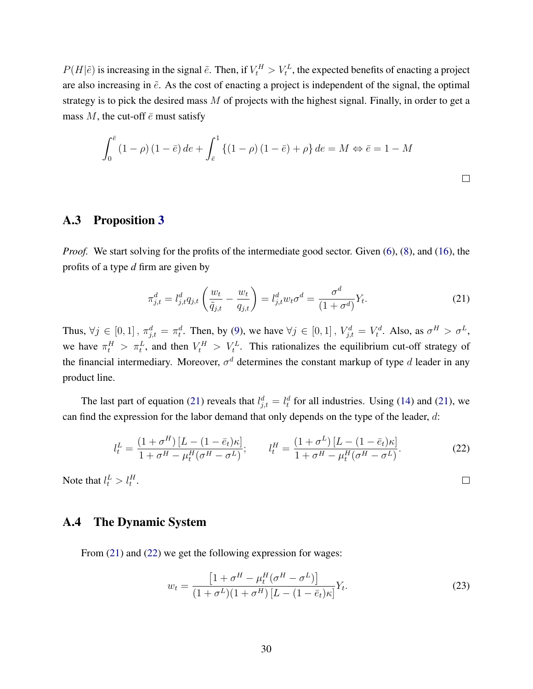$P(H|\tilde{e})$  is increasing in the signal  $\tilde{e}$ . Then, if  $V_t^H > V_t^L$ , the expected benefits of enacting a project are also increasing in  $\tilde{e}$ . As the cost of enacting a project is independent of the signal, the optimal strategy is to pick the desired mass M of projects with the highest signal. Finally, in order to get a mass M, the cut-off  $\bar{e}$  must satisfy

$$
\int_0^{\bar{e}} (1 - \rho) (1 - \bar{e}) de + \int_{\bar{e}}^1 \{ (1 - \rho) (1 - \bar{e}) + \rho \} de = M \Leftrightarrow \bar{e} = 1 - M
$$

### <span id="page-29-1"></span>A.3 Proposition [3](#page-14-0)

*Proof.* We start solving for the profits of the intermediate good sector. Given [\(6\)](#page-6-2), [\(8\)](#page-7-0), and [\(16\)](#page-14-1), the profits of a type *d* firm are given by

<span id="page-29-2"></span>
$$
\pi_{j,t}^d = l_{j,t}^d q_{j,t} \left( \frac{w_t}{\tilde{q}_{j,t}} - \frac{w_t}{q_{j,t}} \right) = l_{j,t}^d w_t \sigma^d = \frac{\sigma^d}{(1 + \sigma^d)} Y_t.
$$
\n(21)

Thus,  $\forall j \in [0,1]$ ,  $\pi_{j,t}^d = \pi_t^d$ . Then, by [\(9\)](#page-7-1), we have  $\forall j \in [0,1]$ ,  $V_{j,t}^d = V_t^d$ . Also, as  $\sigma^H > \sigma^L$ , we have  $\pi_t^H > \pi_t^L$ , and then  $V_t^H > V_t^L$ . This rationalizes the equilibrium cut-off strategy of the financial intermediary. Moreover,  $\sigma^d$  determines the constant markup of type d leader in any product line.

The last part of equation [\(21\)](#page-29-2) reveals that  $l_{j,t}^d = l_t^d$  for all industries. Using [\(14\)](#page-14-2) and (21), we can find the expression for the labor demand that only depends on the type of the leader,  $d$ :

<span id="page-29-3"></span>
$$
l_t^L = \frac{(1 + \sigma^H) [L - (1 - \bar{e}_t)\kappa]}{1 + \sigma^H - \mu_t^H (\sigma^H - \sigma^L)}; \qquad l_t^H = \frac{(1 + \sigma^L) [L - (1 - \bar{e}_t)\kappa]}{1 + \sigma^H - \mu_t^H (\sigma^H - \sigma^L)}.
$$
(22)

Note that  $l_t^L > l_t^H$ .

### <span id="page-29-0"></span>A.4 The Dynamic System

From  $(21)$  and  $(22)$  we get the following expression for wages:

<span id="page-29-4"></span>
$$
w_t = \frac{\left[1 + \sigma^H - \mu_t^H(\sigma^H - \sigma^L)\right]}{(1 + \sigma^L)(1 + \sigma^H)\left[L - (1 - \bar{e}_t)\kappa\right]}Y_t.
$$
\n(23)

 $\Box$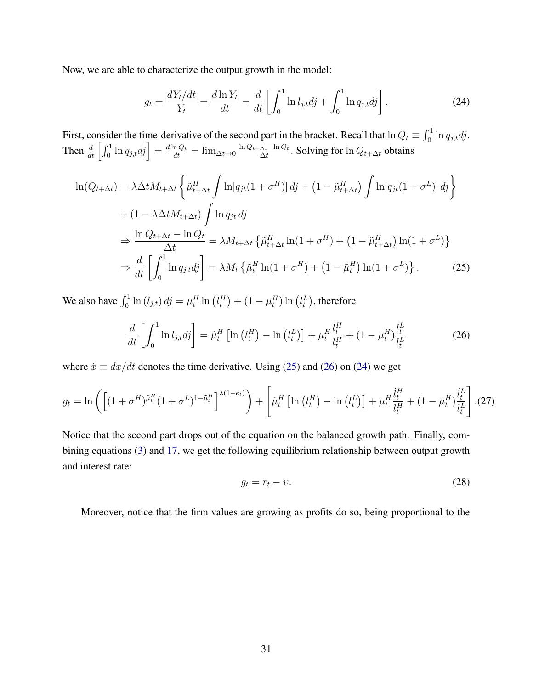Now, we are able to characterize the output growth in the model:

<span id="page-30-2"></span>
$$
g_t = \frac{dY_t/dt}{Y_t} = \frac{d \ln Y_t}{dt} = \frac{d}{dt} \left[ \int_0^1 \ln l_{j,t} dt + \int_0^1 \ln q_{j,t} dt \right].
$$
 (24)

First, consider the time-derivative of the second part in the bracket. Recall that  $\ln Q_t \equiv \int_0^1 \ln q_{j,t} dy$ . Then  $\frac{d}{dt} \left[ \int_0^1 \ln q_{j,t} dy \right] = \frac{d \ln Q_t}{dt} = \lim_{\Delta t \to 0} \frac{\ln Q_{t+\Delta t} - \ln Q_t}{\Delta t}$  $\frac{\Delta t^{-\text{ln} \mathbf{Q}_t}}{\Delta t}$ . Solving for  $\ln Q_{t+\Delta t}$  obtains

$$
\ln(Q_{t+\Delta t}) = \lambda \Delta t M_{t+\Delta t} \left\{ \tilde{\mu}_{t+\Delta t}^H \int \ln[q_{jt}(1+\sigma^H)] \, dj + (1-\tilde{\mu}_{t+\Delta t}^H) \int \ln[q_{jt}(1+\sigma^L)] \, dj \right\}
$$
  
+ 
$$
(1 - \lambda \Delta t M_{t+\Delta t}) \int \ln q_{jt} \, dj
$$
  

$$
\Rightarrow \frac{\ln Q_{t+\Delta t} - \ln Q_t}{\Delta t} = \lambda M_{t+\Delta t} \left\{ \tilde{\mu}_{t+\Delta t}^H \ln(1+\sigma^H) + (1-\tilde{\mu}_{t+\Delta t}^H) \ln(1+\sigma^L) \right\}
$$
  

$$
\Rightarrow \frac{d}{dt} \left[ \int_0^1 \ln q_{j,t} \, dj \right] = \lambda M_t \left\{ \tilde{\mu}_t^H \ln(1+\sigma^H) + (1-\tilde{\mu}_t^H) \ln(1+\sigma^L) \right\}. \tag{25}
$$

We also have  $\int_0^1 \ln(l_{j,t}) \, dj = \mu_t^H \ln(l_t^H) + (1 - \mu_t^H) \ln(l_t^L)$ , therefore

<span id="page-30-1"></span>
$$
\frac{d}{dt} \left[ \int_0^1 \ln l_{j,t} d\mathbf{j} \right] = \dot{\mu}_t^H \left[ \ln \left( l_t^H \right) - \ln \left( l_t^L \right) \right] + \mu_t^H \frac{\dot{l}_t^H}{l_t^H} + (1 - \mu_t^H) \frac{\dot{l}_t^L}{l_t^L}
$$
(26)

where  $\dot{x} \equiv dx/dt$  denotes the time derivative. Using [\(25\)](#page-30-0) and [\(26\)](#page-30-1) on [\(24\)](#page-30-2) we get

<span id="page-30-4"></span>
$$
g_t = \ln\left(\left[ (1 + \sigma^H)^{\tilde{\mu}_t^H} (1 + \sigma^L)^{1 - \tilde{\mu}_t^H} \right]^{\lambda (1 - \bar{e}_t)}\right) + \left[ \mu_t^H \left[ \ln\left(l_t^H\right) - \ln\left(l_t^L\right) \right] + \mu_t^H \frac{\dot{l}_t^H}{l_t^H} + (1 - \mu_t^H) \frac{\dot{l}_t^L}{l_t^L} \right]. (27)
$$

Notice that the second part drops out of the equation on the balanced growth path. Finally, combining equations [\(3\)](#page-6-3) and [17,](#page-14-3) we get the following equilibrium relationship between output growth and interest rate:

<span id="page-30-3"></span><span id="page-30-0"></span>
$$
g_t = r_t - \upsilon. \tag{28}
$$

Moreover, notice that the firm values are growing as profits do so, being proportional to the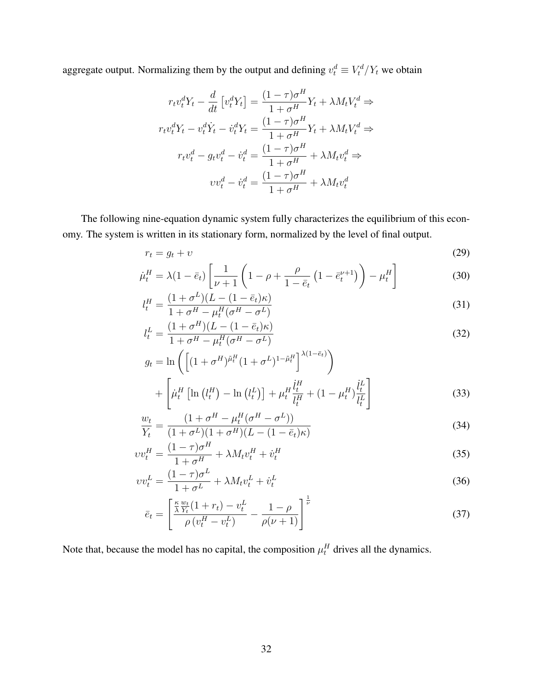aggregate output. Normalizing them by the output and defining  $v_t^d \equiv V_t^d/Y_t$  we obtain

$$
r_t v_t^d Y_t - \frac{d}{dt} \left[ v_t^d Y_t \right] = \frac{(1 - \tau)\sigma^H}{1 + \sigma^H} Y_t + \lambda M_t V_t^d \Rightarrow
$$
  

$$
r_t v_t^d Y_t - v_t^d Y_t - \dot{v}_t^d Y_t = \frac{(1 - \tau)\sigma^H}{1 + \sigma^H} Y_t + \lambda M_t V_t^d \Rightarrow
$$
  

$$
r_t v_t^d - g_t v_t^d - \dot{v}_t^d = \frac{(1 - \tau)\sigma^H}{1 + \sigma^H} + \lambda M_t v_t^d \Rightarrow
$$
  

$$
v v_t^d - \dot{v}_t^d = \frac{(1 - \tau)\sigma^H}{1 + \sigma^H} + \lambda M_t v_t^d
$$

The following nine-equation dynamic system fully characterizes the equilibrium of this economy. The system is written in its stationary form, normalized by the level of final output.

$$
r_t = g_t + v \tag{29}
$$

$$
\dot{\mu}_t^H = \lambda (1 - \bar{e}_t) \left[ \frac{1}{\nu + 1} \left( 1 - \rho + \frac{\rho}{1 - \bar{e}_t} \left( 1 - \bar{e}_t^{\nu + 1} \right) \right) - \mu_t^H \right] \tag{30}
$$

$$
l_t^H = \frac{(1+\sigma^L)(L - (1-\bar{e}_t)\kappa)}{1+\sigma^H - \mu_t^H(\sigma^H - \sigma^L)}
$$
(31)

$$
l_t^L = \frac{(1 + \sigma^H)(L - (1 - \bar{e}_t)\kappa)}{1 + \sigma^H - \mu_t^H(\sigma^H - \sigma^L)}
$$
(32)

$$
g_t = \ln\left(\left[(1+\sigma^H)^{\tilde{\mu}_t^H}(1+\sigma^L)^{1-\tilde{\mu}_t^H}\right]^{\lambda(1-\bar{e}_t)}\right)
$$

$$
+\left[\mu_t^H\left[\ln\left(l_t^H\right)-\ln\left(l_t^L\right)\right]+\mu_t^H \frac{l_t^H}{l_t^H}+\left(1-\mu_t^H\right)\frac{l_t^L}{l_t^L}\right]
$$
(33)

$$
\frac{w_t}{Y_t} = \frac{(1 + \sigma^H - \mu_t^H(\sigma^H - \sigma^L))}{(1 + \sigma^L)(1 + \sigma^H)(L - (1 - \bar{e}_t)\kappa)}
$$
(34)

$$
vv_t^H = \frac{(1-\tau)\sigma^H}{1+\sigma^H} + \lambda M_t v_t^H + \dot{v}_t^H
$$
\n(35)

$$
vv_t^L = \frac{(1-\tau)\sigma^L}{1+\sigma^L} + \lambda M_t v_t^L + \dot{v}_t^L
$$
\n(36)

$$
\bar{e}_t = \left[ \frac{\frac{\kappa}{\lambda} \frac{w_t}{Y_t} (1 + r_t) - v_t^L}{\rho (v_t^H - v_t^L)} - \frac{1 - \rho}{\rho (\nu + 1)} \right]^{\frac{1}{\nu}} \tag{37}
$$

Note that, because the model has no capital, the composition  $\mu_t^H$  drives all the dynamics.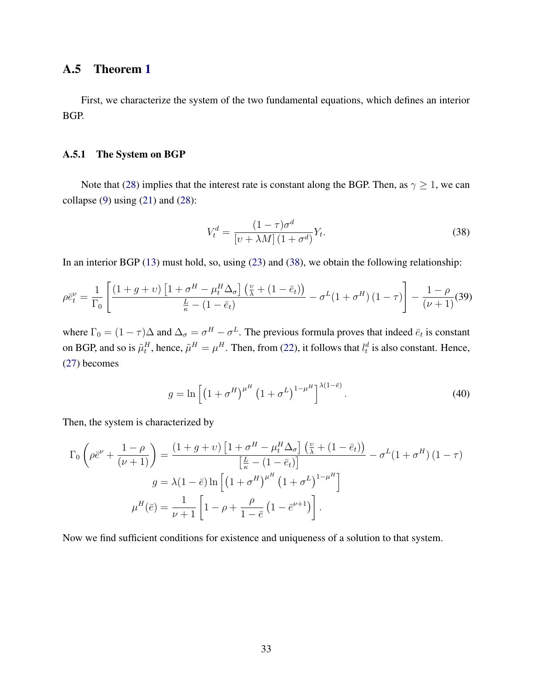### <span id="page-32-0"></span>A.5 Theorem [1](#page-15-1)

First, we characterize the system of the two fundamental equations, which defines an interior BGP.

#### A.5.1 The System on BGP

Note that [\(28\)](#page-30-3) implies that the interest rate is constant along the BGP. Then, as  $\gamma \geq 1$ , we can collapse  $(9)$  using  $(21)$  and  $(28)$ :

<span id="page-32-1"></span>
$$
V_t^d = \frac{(1-\tau)\sigma^d}{\left[\nu + \lambda M\right](1+\sigma^d)} Y_t.
$$
\n(38)

In an interior BGP [\(13\)](#page-13-0) must hold, so, using [\(23\)](#page-29-4) and [\(38\)](#page-32-1), we obtain the following relationship:

<span id="page-32-2"></span>
$$
\rho \bar{e}_t^{\nu} = \frac{1}{\Gamma_0} \left[ \frac{\left(1+g+\nu\right) \left[1+\sigma^H - \mu_t^H \Delta_{\sigma}\right] \left(\frac{\nu}{\lambda} + \left(1-\bar{e}_t\right)\right)}{\frac{L}{\kappa} - \left(1-\bar{e}_t\right)} - \sigma^L (1+\sigma^H) \left(1-\tau\right) \right] - \frac{1-\rho}{\left(\nu+1\right)} (39)
$$

where  $\Gamma_0 = (1 - \tau)\Delta$  and  $\Delta_{\sigma} = \sigma^H - \sigma^L$ . The previous formula proves that indeed  $\bar{e}_t$  is constant on BGP, and so is  $\tilde{\mu}_t^H$ , hence,  $\tilde{\mu}^H = \mu^H$ . Then, from [\(22\)](#page-29-3), it follows that  $l_t^d$  is also constant. Hence, [\(27\)](#page-30-4) becomes

<span id="page-32-3"></span>
$$
g = \ln\left[\left(1 + \sigma^H\right)^{\mu^H} \left(1 + \sigma^L\right)^{1 - \mu^H}\right]^{\lambda(1 - \bar{e})}.
$$
\n(40)

Then, the system is characterized by

$$
\Gamma_0 \left( \rho \bar{e}^{\nu} + \frac{1 - \rho}{(\nu + 1)} \right) = \frac{\left( 1 + g + \nu \right) \left[ 1 + \sigma^H - \mu_t^H \Delta_{\sigma} \right] \left( \frac{\nu}{\lambda} + \left( 1 - \bar{e}_t \right) \right]}{\left[ \frac{L}{\kappa} - \left( 1 - \bar{e}_t \right) \right]} - \sigma^L (1 + \sigma^H) \left( 1 - \tau \right)
$$
\n
$$
g = \lambda (1 - \bar{e}) \ln \left[ \left( 1 + \sigma^H \right)^{\mu^H} \left( 1 + \sigma^L \right)^{1 - \mu^H} \right]
$$
\n
$$
\mu^H(\bar{e}) = \frac{1}{\nu + 1} \left[ 1 - \rho + \frac{\rho}{1 - \bar{e}} \left( 1 - \bar{e}^{\nu + 1} \right) \right].
$$

Now we find sufficient conditions for existence and uniqueness of a solution to that system.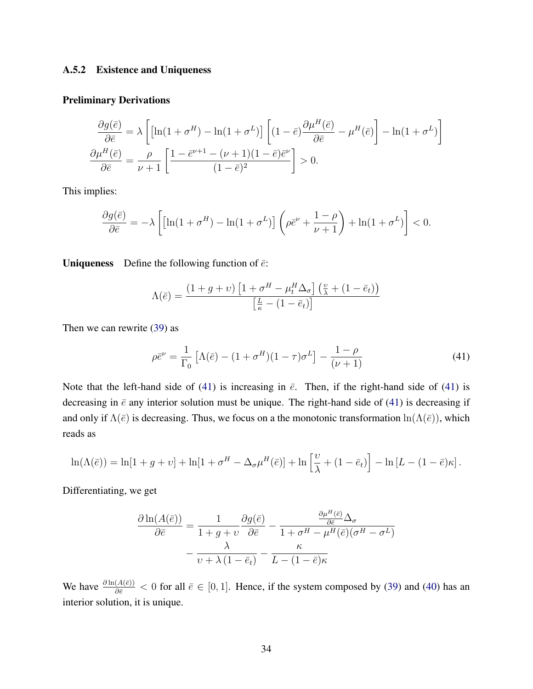#### A.5.2 Existence and Uniqueness

#### Preliminary Derivations

$$
\frac{\partial g(\bar{e})}{\partial \bar{e}} = \lambda \left[ \left[ \ln(1 + \sigma^H) - \ln(1 + \sigma^L) \right] \left[ (1 - \bar{e}) \frac{\partial \mu^H(\bar{e})}{\partial \bar{e}} - \mu^H(\bar{e}) \right] - \ln(1 + \sigma^L) \right]
$$

$$
\frac{\partial \mu^H(\bar{e})}{\partial \bar{e}} = \frac{\rho}{\nu + 1} \left[ \frac{1 - \bar{e}^{\nu + 1} - (\nu + 1)(1 - \bar{e})\bar{e}^{\nu}}{(1 - \bar{e})^2} \right] > 0.
$$

This implies:

$$
\frac{\partial g(\bar{e})}{\partial \bar{e}} = -\lambda \left[ \left[ \ln(1 + \sigma^H) - \ln(1 + \sigma^L) \right] \left( \rho \bar{e}^{\nu} + \frac{1 - \rho}{\nu + 1} \right) + \ln(1 + \sigma^L) \right] < 0.
$$

**Uniqueness** Define the following function of  $\bar{e}$ :

$$
\Lambda(\bar{e}) = \frac{(1+g+v)\left[1+\sigma^H - \mu_t^H \Delta_\sigma\right] \left(\frac{v}{\lambda} + (1-\bar{e}_t)\right)}{\left[\frac{L}{\kappa} - (1-\bar{e}_t)\right]}
$$

Then we can rewrite [\(39\)](#page-32-2) as

<span id="page-33-0"></span>
$$
\rho \bar{e}^{\nu} = \frac{1}{\Gamma_0} \left[ \Lambda(\bar{e}) - (1 + \sigma^H)(1 - \tau)\sigma^L \right] - \frac{1 - \rho}{(\nu + 1)} \tag{41}
$$

Note that the left-hand side of [\(41\)](#page-33-0) is increasing in  $\bar{e}$ . Then, if the right-hand side of (41) is decreasing in  $\bar{e}$  any interior solution must be unique. The right-hand side of [\(41\)](#page-33-0) is decreasing if and only if  $\Lambda(\bar{e})$  is decreasing. Thus, we focus on a the monotonic transformation  $\ln(\Lambda(\bar{e}))$ , which reads as

$$
\ln(\Lambda(\bar{e})) = \ln[1+g+v] + \ln[1+\sigma^H - \Delta_{\sigma}\mu^H(\bar{e})] + \ln\left[\frac{\nu}{\lambda} + (1-\bar{e}_t)\right] - \ln[L - (1-\bar{e})\kappa].
$$

Differentiating, we get

$$
\frac{\partial \ln(A(\bar{e}))}{\partial \bar{e}} = \frac{1}{1+g+v} \frac{\partial g(\bar{e})}{\partial \bar{e}} - \frac{\frac{\partial \mu^H(\bar{e})}{\partial \bar{e}} \Delta_{\sigma}}{1+\sigma^H - \mu^H(\bar{e})(\sigma^H - \sigma^L)}
$$

$$
-\frac{\lambda}{v+\lambda(1-\bar{e}_t)} - \frac{\kappa}{L - (1-\bar{e})\kappa}
$$

We have  $\frac{\partial \ln(A(\bar{e}))}{\partial \bar{e}} < 0$  for all  $\bar{e} \in [0, 1]$ . Hence, if the system composed by [\(39\)](#page-32-2) and [\(40\)](#page-32-3) has an interior solution, it is unique.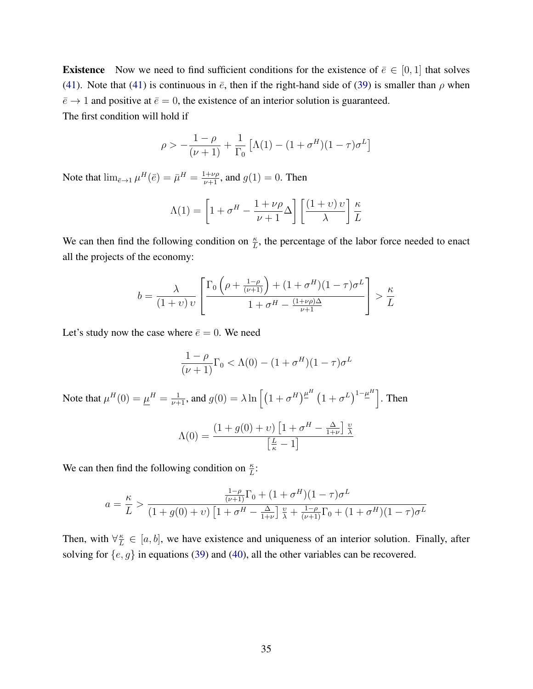**Existence** Now we need to find sufficient conditions for the existence of  $\bar{e} \in [0, 1]$  that solves [\(41\)](#page-33-0). Note that (41) is continuous in  $\bar{e}$ , then if the right-hand side of [\(39\)](#page-32-2) is smaller than  $\rho$  when  $\bar{e} \rightarrow 1$  and positive at  $\bar{e} = 0$ , the existence of an interior solution is guaranteed. The first condition will hold if

$$
\rho > -\frac{1-\rho}{(\nu+1)} + \frac{1}{\Gamma_0} \left[ \Lambda(1) - (1 + \sigma^H)(1 - \tau)\sigma^L \right]
$$

Note that  $\lim_{\bar{e}\to 1}\mu^H(\bar{e}) = \bar{\mu}^H = \frac{1+\nu\rho}{\nu+1}$ , and  $g(1) = 0$ . Then

$$
\Lambda(1) = \left[1 + \sigma^H - \frac{1 + \nu \rho}{\nu + 1} \Delta\right] \left[\frac{(1 + \nu) \nu}{\lambda}\right] \frac{\kappa}{L}
$$

We can then find the following condition on  $\frac{\kappa}{L}$ , the percentage of the labor force needed to enact all the projects of the economy:

$$
b = \frac{\lambda}{(1+v)v} \left[ \frac{\Gamma_0 \left( \rho + \frac{1-\rho}{(\nu+1)} \right) + (1+\sigma^H)(1-\tau)\sigma^L}{1+\sigma^H - \frac{(1+\nu\rho)\Delta}{\nu+1}} \right] > \frac{\kappa}{L}
$$

Let's study now the case where  $\bar{e} = 0$ . We need

$$
\frac{1-\rho}{(\nu+1)}\Gamma_0 < \Lambda(0)-(1+\sigma^H)(1-\tau)\sigma^L
$$

Note that  $\mu^H(0) = \underline{\mu}^H = \frac{1}{\nu+1}$ , and  $g(0) = \lambda \ln \left[ \left( 1 + \sigma^H \right)^{\underline{\mu}^H} \left( 1 + \sigma^L \right)^{1-\underline{\mu}^H} \right]$ . Then

$$
\Lambda(0) = \frac{(1+g(0)+v)\left[1+\sigma^H - \frac{\Delta}{1+\nu}\right] \frac{v}{\lambda}}{\left[\frac{L}{\kappa} - 1\right]}
$$

We can then find the following condition on  $\frac{\kappa}{L}$ :

$$
a = \frac{\kappa}{L} > \frac{\frac{1-\rho}{(\nu+1)}\Gamma_0 + (1+\sigma^H)(1-\tau)\sigma^L}{(1+g(0)+\nu)\left[1+\sigma^H - \frac{\Delta}{1+\nu}\right]\frac{\nu}{\lambda} + \frac{1-\rho}{(\nu+1)}\Gamma_0 + (1+\sigma^H)(1-\tau)\sigma^L}
$$

Then, with  $\forall \frac{\kappa}{L}$  $\frac{\kappa}{L} \in [a, b]$ , we have existence and uniqueness of an interior solution. Finally, after solving for  $\{e, g\}$  in equations [\(39\)](#page-32-2) and [\(40\)](#page-32-3), all the other variables can be recovered.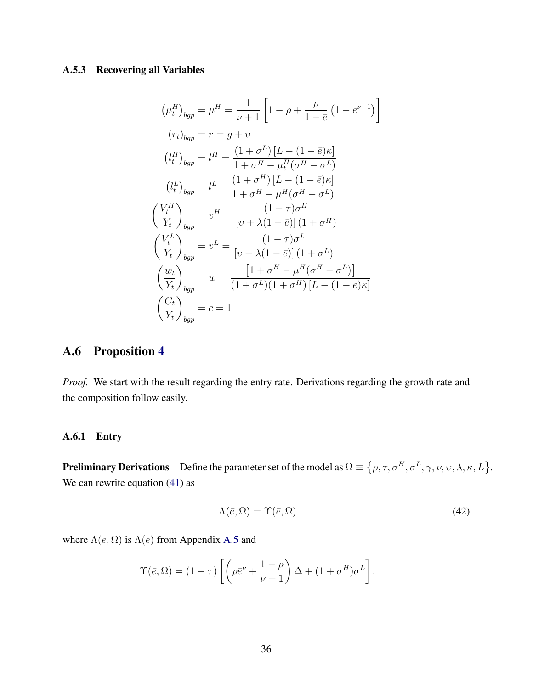### A.5.3 Recovering all Variables

$$
(\mu_t^H)_{bgp} = \mu^H = \frac{1}{\nu + 1} \left[ 1 - \rho + \frac{\rho}{1 - \bar{e}} \left( 1 - \bar{e}^{\nu + 1} \right) \right]
$$

$$
(r_t)_{bgp} = r = g + \upsilon
$$

$$
(\bar{l}_t^H)_{bgp} = \bar{l}^H = \frac{(1 + \sigma^L) \left[ L - (1 - \bar{e})\kappa \right]}{1 + \sigma^H - \mu_t^H (\sigma^H - \sigma^L)}
$$

$$
(\bar{l}_t^L)_{bgp} = \bar{l}^L = \frac{(1 + \sigma^H) \left[ L - (1 - \bar{e})\kappa \right]}{1 + \sigma^H - \mu^H (\sigma^H - \sigma^L)}
$$

$$
\left( \frac{V_t^H}{Y_t} \right)_{bgp} = \upsilon^H = \frac{(1 - \tau)\sigma^H}{\left[ \upsilon + \lambda (1 - \bar{e}) \right] \left( 1 + \sigma^H \right)}
$$

$$
\left( \frac{V_t^L}{Y_t} \right)_{bgp} = \upsilon^L = \frac{(1 - \tau)\sigma^L}{\left[ \upsilon + \lambda (1 - \bar{e}) \right] \left( 1 + \sigma^L \right)}
$$

$$
\left( \frac{w_t}{Y_t} \right)_{bgp} = w = \frac{\left[ 1 + \sigma^H - \mu^H (\sigma^H - \sigma^L) \right]}{(1 + \sigma^L) \left( 1 + \sigma^H \right) \left[ L - (1 - \bar{e})\kappa \right]}
$$

$$
\left( \frac{C_t}{Y_t} \right)_{bgp} = c = 1
$$

## <span id="page-35-0"></span>A.6 Proposition [4](#page-16-0)

*Proof.* We start with the result regarding the entry rate. Derivations regarding the growth rate and the composition follow easily.

### A.6.1 Entry

**Preliminary Derivations** Define the parameter set of the model as  $\Omega \equiv \{ \rho, \tau, \sigma^H, \sigma^L, \gamma, \nu, \nu, \lambda, \kappa, L \}.$ We can rewrite equation [\(41\)](#page-33-0) as

<span id="page-35-1"></span>
$$
\Lambda(\bar{e}, \Omega) = \Upsilon(\bar{e}, \Omega) \tag{42}
$$

where  $\Lambda(\bar{e}, \Omega)$  is  $\Lambda(\bar{e})$  from Appendix [A.5](#page-32-0) and

$$
\Upsilon(\bar{e},\Omega) = (1-\tau)\left[\left(\rho\bar{e}^{\nu} + \frac{1-\rho}{\nu+1}\right)\Delta + (1+\sigma^H)\sigma^L\right].
$$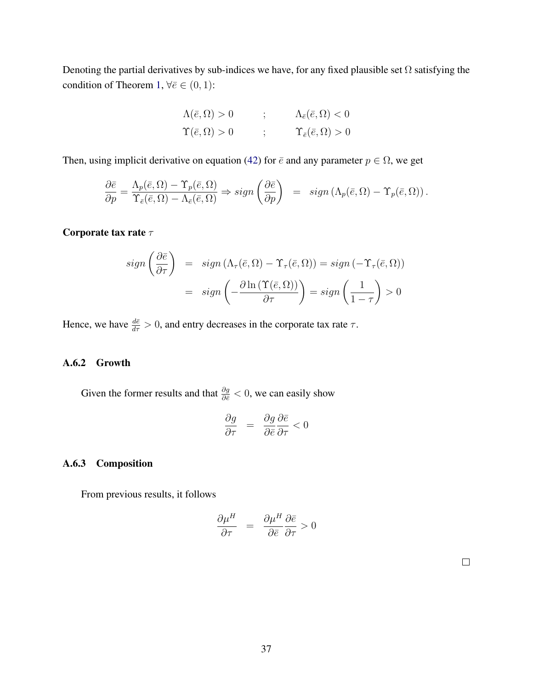Denoting the partial derivatives by sub-indices we have, for any fixed plausible set  $\Omega$  satisfying the condition of Theorem [1,](#page-15-1)  $\forall \bar{e} \in (0,1)$ :

$$
\Lambda(\bar{e}, \Omega) > 0 \qquad ; \qquad \Lambda_{\bar{e}}(\bar{e}, \Omega) < 0
$$
  

$$
\Upsilon(\bar{e}, \Omega) > 0 \qquad ; \qquad \Upsilon_{\bar{e}}(\bar{e}, \Omega) > 0
$$

Then, using implicit derivative on equation [\(42\)](#page-35-1) for  $\bar{e}$  and any parameter  $p \in \Omega$ , we get

$$
\frac{\partial \bar{e}}{\partial p} = \frac{\Lambda_p(\bar{e}, \Omega) - \Upsilon_p(\bar{e}, \Omega)}{\Upsilon_{\bar{e}}(\bar{e}, \Omega) - \Lambda_{\bar{e}}(\bar{e}, \Omega)} \Rightarrow sign\left(\frac{\partial \bar{e}}{\partial p}\right) = sign\left(\Lambda_p(\bar{e}, \Omega) - \Upsilon_p(\bar{e}, \Omega)\right).
$$

Corporate tax rate  $\tau$ 

$$
sign\left(\frac{\partial \bar{e}}{\partial \tau}\right) = sign\left(\Lambda_{\tau}(\bar{e}, \Omega) - \Upsilon_{\tau}(\bar{e}, \Omega)\right) = sign\left(-\Upsilon_{\tau}(\bar{e}, \Omega)\right)
$$

$$
= sign\left(-\frac{\partial \ln(\Upsilon(\bar{e}, \Omega))}{\partial \tau}\right) = sign\left(\frac{1}{1-\tau}\right) > 0
$$

Hence, we have  $\frac{d\bar{e}}{d\tau} > 0$ , and entry decreases in the corporate tax rate  $\tau$ .

#### A.6.2 Growth

Given the former results and that  $\frac{\partial g}{\partial \bar{\epsilon}} < 0$ , we can easily show

$$
\frac{\partial g}{\partial \tau} = \frac{\partial g}{\partial \bar{e}} \frac{\partial \bar{e}}{\partial \tau} < 0
$$

### A.6.3 Composition

From previous results, it follows

$$
\frac{\partial \mu^H}{\partial \tau} = \frac{\partial \mu^H}{\partial \bar{e}} \frac{\partial \bar{e}}{\partial \tau} > 0
$$

 $\Box$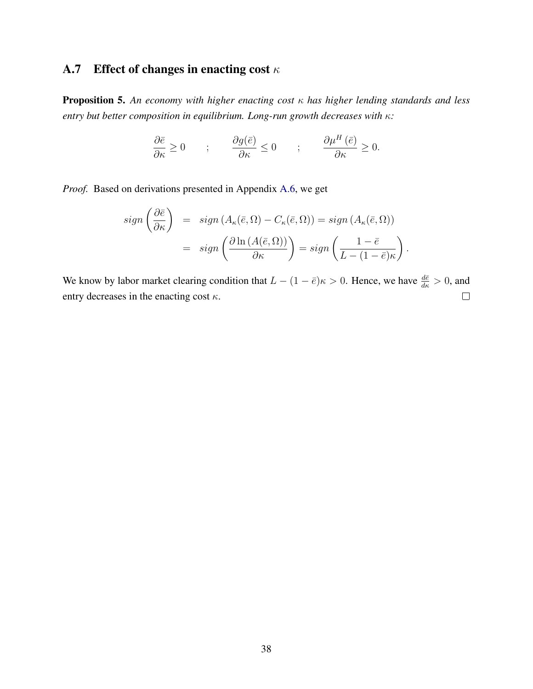# <span id="page-37-0"></span>A.7 Effect of changes in enacting cost  $\kappa$

Proposition 5. *An economy with higher enacting cost* κ *has higher lending standards and less entry but better composition in equilibrium. Long-run growth decreases with* κ*:*

$$
\frac{\partial \bar{e}}{\partial \kappa} \ge 0 \qquad ; \qquad \frac{\partial g(\bar{e})}{\partial \kappa} \le 0 \qquad ; \qquad \frac{\partial \mu^H(\bar{e})}{\partial \kappa} \ge 0.
$$

*Proof.* Based on derivations presented in Appendix [A.6,](#page-35-0) we get

$$
sign\left(\frac{\partial \bar{e}}{\partial \kappa}\right) = sign\left(A_{\kappa}(\bar{e}, \Omega) - C_{\kappa}(\bar{e}, \Omega)\right) = sign\left(A_{\kappa}(\bar{e}, \Omega)\right)
$$

$$
= sign\left(\frac{\partial \ln(A(\bar{e}, \Omega))}{\partial \kappa}\right) = sign\left(\frac{1 - \bar{e}}{L - (1 - \bar{e})\kappa}\right).
$$

We know by labor market clearing condition that  $L - (1 - \bar{e})\kappa > 0$ . Hence, we have  $\frac{d\bar{e}}{d\kappa} > 0$ , and entry decreases in the enacting cost  $\kappa$ .  $\Box$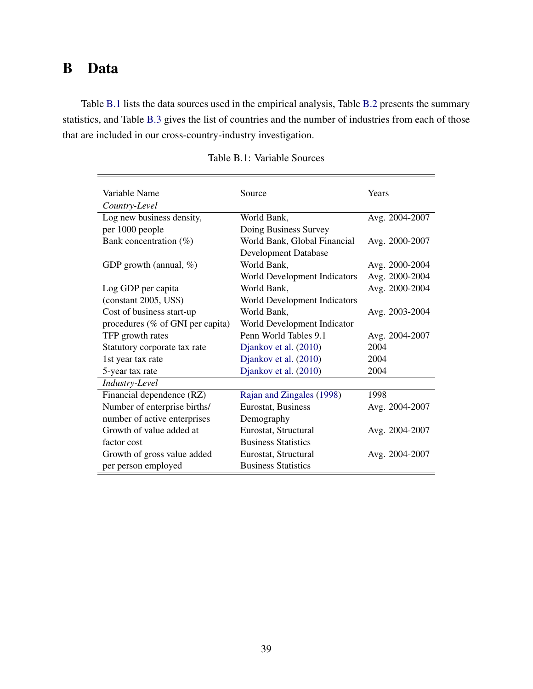# <span id="page-38-0"></span>B Data

Table [B.1](#page-38-1) lists the data sources used in the empirical analysis, Table [B.2](#page-39-0) presents the summary statistics, and Table [B.3](#page-40-1) gives the list of countries and the number of industries from each of those that are included in our cross-country-industry investigation.

<span id="page-38-1"></span>

| Variable Name                    | Source                       | Years          |
|----------------------------------|------------------------------|----------------|
| Country-Level                    |                              |                |
| Log new business density,        | World Bank,                  | Avg. 2004-2007 |
| per 1000 people                  | Doing Business Survey        |                |
| Bank concentration $(\%)$        | World Bank, Global Financial | Avg. 2000-2007 |
|                                  | <b>Development Database</b>  |                |
| GDP growth (annual, $\%$ )       | World Bank,                  | Avg. 2000-2004 |
|                                  | World Development Indicators | Avg. 2000-2004 |
| Log GDP per capita               | World Bank,                  | Avg. 2000-2004 |
| (constant 2005, US\$)            | World Development Indicators |                |
| Cost of business start-up        | World Bank,                  | Avg. 2003-2004 |
| procedures (% of GNI per capita) | World Development Indicator  |                |
| TFP growth rates                 | Penn World Tables 9.1        | Avg. 2004-2007 |
| Statutory corporate tax rate     | Djankov et al. (2010)        | 2004           |
| 1st year tax rate                | Djankov et al. (2010)        | 2004           |
| 5-year tax rate                  | Djankov et al. (2010)        | 2004           |
| Industry-Level                   |                              |                |
| Financial dependence (RZ)        | Rajan and Zingales (1998)    | 1998           |
| Number of enterprise births/     | Eurostat, Business           | Avg. 2004-2007 |
| number of active enterprises     | Demography                   |                |
| Growth of value added at         | Eurostat, Structural         | Avg. 2004-2007 |
| factor cost                      | <b>Business Statistics</b>   |                |
| Growth of gross value added      | Eurostat, Structural         | Avg. 2004-2007 |
| per person employed              | <b>Business Statistics</b>   |                |

|  | Table B.1: Variable Sources |
|--|-----------------------------|
|--|-----------------------------|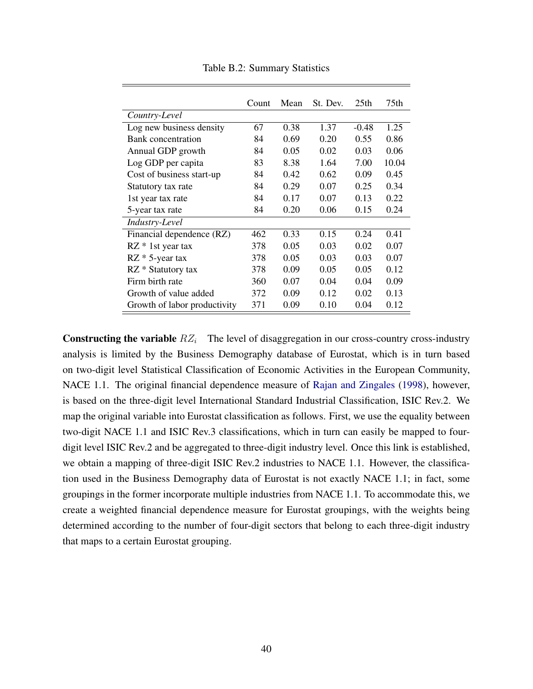<span id="page-39-0"></span>

|                              | Count | Mean | St. Dev. | 25 <sub>th</sub> | 75th  |
|------------------------------|-------|------|----------|------------------|-------|
| Country-Level                |       |      |          |                  |       |
| Log new business density     | 67    | 0.38 | 1.37     | $-0.48$          | 1.25  |
| Bank concentration           | 84    | 0.69 | 0.20     | 0.55             | 0.86  |
| Annual GDP growth            | 84    | 0.05 | 0.02     | 0.03             | 0.06  |
| Log GDP per capita           | 83    | 8.38 | 1.64     | 7.00             | 10.04 |
| Cost of business start-up    | 84    | 0.42 | 0.62     | 0.09             | 0.45  |
| Statutory tax rate           | 84    | 0.29 | 0.07     | 0.25             | 0.34  |
| 1st year tax rate            | 84    | 0.17 | 0.07     | 0.13             | 0.22  |
| 5-year tax rate              | 84    | 0.20 | 0.06     | 0.15             | 0.24  |
| Industry-Level               |       |      |          |                  |       |
| Financial dependence (RZ)    | 462   | 0.33 | 0.15     | 0.24             | 0.41  |
| $RZ * 1st$ year tax          | 378   | 0.05 | 0.03     | 0.02             | 0.07  |
| $RZ * 5$ -year tax           | 378   | 0.05 | 0.03     | 0.03             | 0.07  |
| RZ * Statutory tax           | 378   | 0.09 | 0.05     | 0.05             | 0.12  |
| Firm birth rate              | 360   | 0.07 | 0.04     | 0.04             | 0.09  |
| Growth of value added        | 372   | 0.09 | 0.12     | 0.02             | 0.13  |
| Growth of labor productivity | 371   | 0.09 | 0.10     | 0.04             | 0.12  |

Table B.2: Summary Statistics

Constructing the variable  $RZ_i$  The level of disaggregation in our cross-country cross-industry analysis is limited by the Business Demography database of Eurostat, which is in turn based on two-digit level Statistical Classification of Economic Activities in the European Community, NACE 1.1. The original financial dependence measure of [Rajan and Zingales](#page-27-12) [\(1998\)](#page-27-12), however, is based on the three-digit level International Standard Industrial Classification, ISIC Rev.2. We map the original variable into Eurostat classification as follows. First, we use the equality between two-digit NACE 1.1 and ISIC Rev.3 classifications, which in turn can easily be mapped to fourdigit level ISIC Rev.2 and be aggregated to three-digit industry level. Once this link is established, we obtain a mapping of three-digit ISIC Rev.2 industries to NACE 1.1. However, the classification used in the Business Demography data of Eurostat is not exactly NACE 1.1; in fact, some groupings in the former incorporate multiple industries from NACE 1.1. To accommodate this, we create a weighted financial dependence measure for Eurostat groupings, with the weights being determined according to the number of four-digit sectors that belong to each three-digit industry that maps to a certain Eurostat grouping.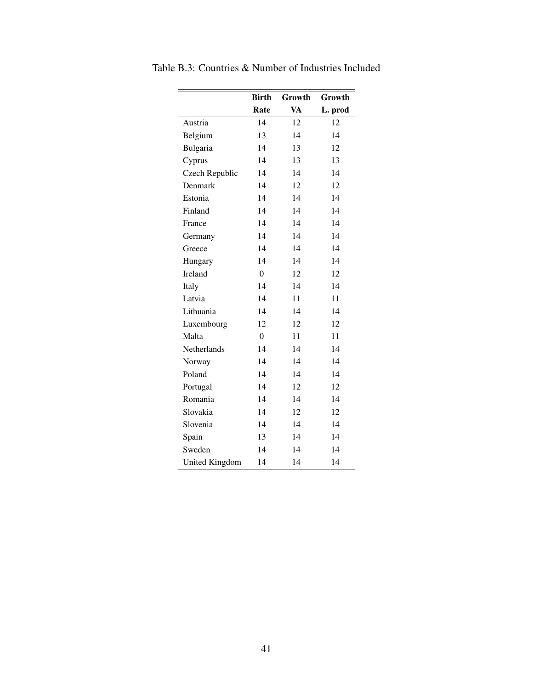<span id="page-40-0"></span>

|                       | <b>Birth</b>     | Growth    | Growth  |
|-----------------------|------------------|-----------|---------|
|                       | Rate             | <b>VA</b> | L. prod |
| Austria               | 14               | 12        | 12      |
| Belgium               | 13               | 14        | 14      |
| Bulgaria              | 14               | 13        | 12      |
| Cyprus                | 14               | 13        | 13      |
| Czech Republic        | 14               | 14        | 14      |
| Denmark               | 14               | 12        | 12      |
| Estonia               | 14               | 14        | 14      |
| Finland               | 14               | 14        | 14      |
| France                | 14               | 14        | 14      |
| Germany               | 14               | 14        | 14      |
| Greece                | 14               | 14        | 14      |
| Hungary               | 14               | 14        | 14      |
| Ireland               | $\boldsymbol{0}$ | 12        | 12      |
| Italy                 | 14               | 14        | 14      |
| Latvia                | 14               | 11        | 11      |
| Lithuania             | 14               | 14        | 14      |
| Luxembourg            | 12               | 12        | 12      |
| Malta                 | $\Omega$         | 11        | 11      |
| Netherlands           | 14               | 14        | 14      |
| Norway                | 14               | 14        | 14      |
| Poland                | 14               | 14        | 14      |
| Portugal              | 14               | 12        | 12      |
| Romania               | 14               | 14        | 14      |
| Slovakia              | 14               | 12        | 12      |
| Slovenia              | 14               | 14        | 14      |
| Spain                 | 13               | 14        | 14      |
| Sweden                | 14               | 14        | 14      |
| <b>United Kingdom</b> | 14               | 14        | 14      |

<span id="page-40-1"></span>Table B.3: Countries & Number of Industries Included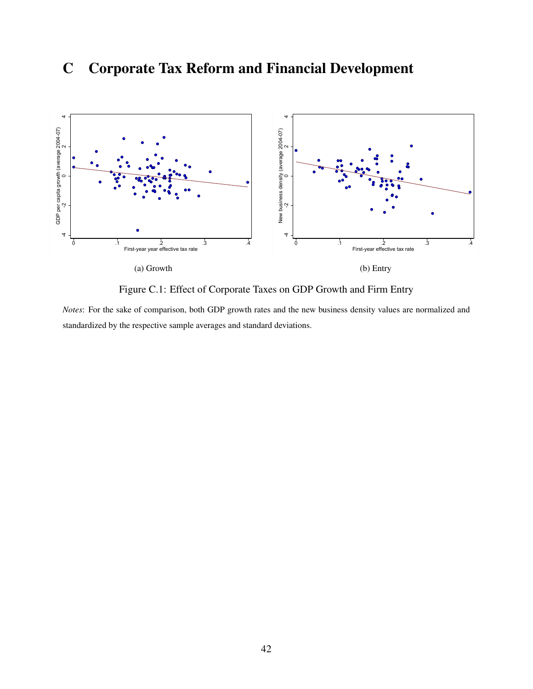# C Corporate Tax Reform and Financial Development



Figure C.1: Effect of Corporate Taxes on GDP Growth and Firm Entry

*Notes*: For the sake of comparison, both GDP growth rates and the new business density values are normalized and standardized by the respective sample averages and standard deviations.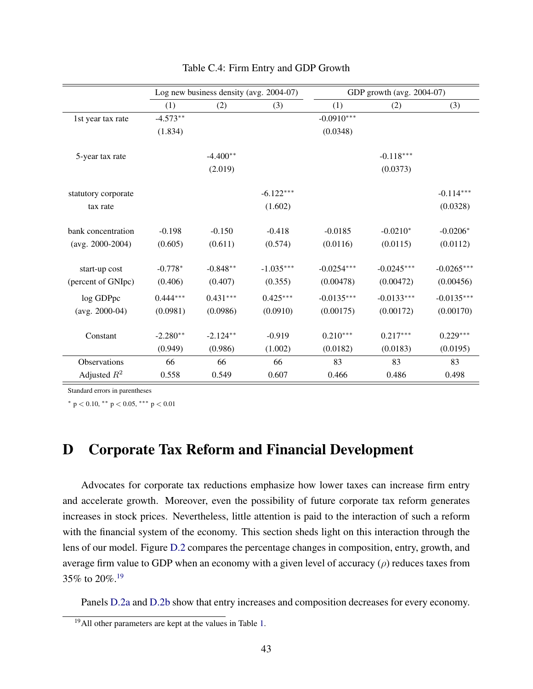|                     |            | Log new business density (avg. 2004-07) |             |              | GDP growth (avg. 2004-07) |              |
|---------------------|------------|-----------------------------------------|-------------|--------------|---------------------------|--------------|
|                     | (1)        | (2)                                     | (3)         | (1)          | (2)                       | (3)          |
| 1st year tax rate   | $-4.573**$ |                                         |             | $-0.0910***$ |                           |              |
|                     | (1.834)    |                                         |             | (0.0348)     |                           |              |
| 5-year tax rate     |            | $-4.400**$                              |             |              | $-0.118***$               |              |
|                     |            | (2.019)                                 |             |              | (0.0373)                  |              |
| statutory corporate |            |                                         | $-6.122***$ |              |                           | $-0.114***$  |
| tax rate            |            |                                         | (1.602)     |              |                           | (0.0328)     |
| bank concentration  | $-0.198$   | $-0.150$                                | $-0.418$    | $-0.0185$    | $-0.0210*$                | $-0.0206*$   |
| $(avg. 2000-2004)$  | (0.605)    | (0.611)                                 | (0.574)     | (0.0116)     | (0.0115)                  | (0.0112)     |
| start-up cost       | $-0.778*$  | $-0.848**$                              | $-1.035***$ | $-0.0254***$ | $-0.0245***$              | $-0.0265***$ |
| (percent of GNIpc)  | (0.406)    | (0.407)                                 | (0.355)     | (0.00478)    | (0.00472)                 | (0.00456)    |
| log GDPpc           | $0.444***$ | $0.431***$                              | $0.425***$  | $-0.0135***$ | $-0.0133***$              | $-0.0135***$ |
| $(avg. 2000-04)$    | (0.0981)   | (0.0986)                                | (0.0910)    | (0.00175)    | (0.00172)                 | (0.00170)    |
| Constant            | $-2.280**$ | $-2.124**$                              | $-0.919$    | $0.210***$   | $0.217***$                | $0.229***$   |
|                     | (0.949)    | (0.986)                                 | (1.002)     | (0.0182)     | (0.0183)                  | (0.0195)     |
| Observations        | 66         | 66                                      | 66          | 83           | 83                        | 83           |
| Adjusted $R^2$      | 0.558      | 0.549                                   | 0.607       | 0.466        | 0.486                     | 0.498        |

#### Table C.4: Firm Entry and GDP Growth

Standard errors in parentheses

<sup>∗</sup> p < 0.10, ∗∗ p < 0.05, ∗∗∗ p < 0.01

## <span id="page-42-0"></span>D Corporate Tax Reform and Financial Development

Advocates for corporate tax reductions emphasize how lower taxes can increase firm entry and accelerate growth. Moreover, even the possibility of future corporate tax reform generates increases in stock prices. Nevertheless, little attention is paid to the interaction of such a reform with the financial system of the economy. This section sheds light on this interaction through the lens of our model. Figure [D.2](#page-43-0) compares the percentage changes in composition, entry, growth, and average firm value to GDP when an economy with a given level of accuracy  $(\rho)$  reduces taxes from 35% to 20%.[19](#page-0-0)

Panels [D.2a](#page-43-1) and [D.2b](#page-43-2) show that entry increases and composition decreases for every economy.

<sup>19</sup>All other parameters are kept at the values in Table [1.](#page-17-0)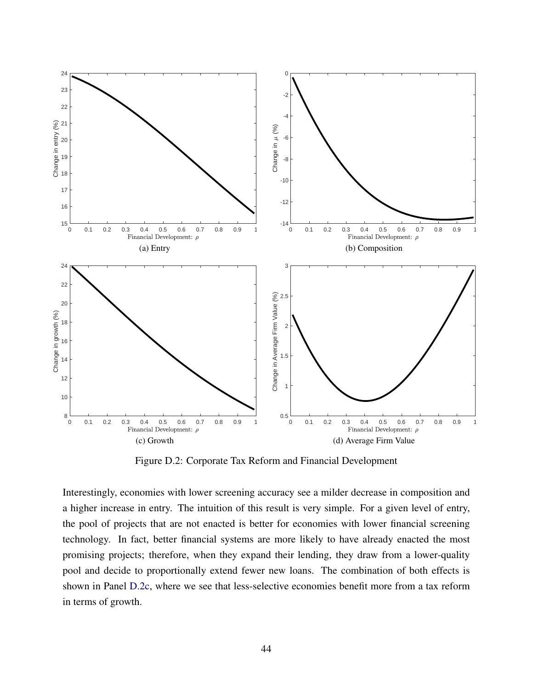<span id="page-43-1"></span><span id="page-43-0"></span>

<span id="page-43-4"></span><span id="page-43-2"></span>Figure D.2: Corporate Tax Reform and Financial Development

<span id="page-43-3"></span>Interestingly, economies with lower screening accuracy see a milder decrease in composition and a higher increase in entry. The intuition of this result is very simple. For a given level of entry, the pool of projects that are not enacted is better for economies with lower financial screening technology. In fact, better financial systems are more likely to have already enacted the most promising projects; therefore, when they expand their lending, they draw from a lower-quality pool and decide to proportionally extend fewer new loans. The combination of both effects is shown in Panel [D.2c,](#page-43-3) where we see that less-selective economies benefit more from a tax reform in terms of growth.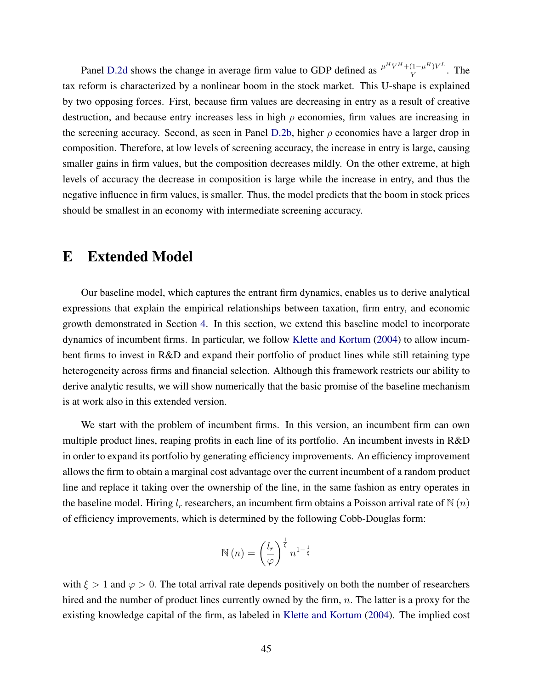Panel [D.2d](#page-43-4) shows the change in average firm value to GDP defined as  $\frac{\mu^H V^H + (1-\mu^H)V^L}{V}$  $\frac{(1-\mu^{11})V^2}{Y}$ . The tax reform is characterized by a nonlinear boom in the stock market. This U-shape is explained by two opposing forces. First, because firm values are decreasing in entry as a result of creative destruction, and because entry increases less in high  $\rho$  economies, firm values are increasing in the screening accuracy. Second, as seen in Panel [D.2b,](#page-43-2) higher  $\rho$  economies have a larger drop in composition. Therefore, at low levels of screening accuracy, the increase in entry is large, causing smaller gains in firm values, but the composition decreases mildly. On the other extreme, at high levels of accuracy the decrease in composition is large while the increase in entry, and thus the negative influence in firm values, is smaller. Thus, the model predicts that the boom in stock prices should be smallest in an economy with intermediate screening accuracy.

## <span id="page-44-0"></span>E Extended Model

Our baseline model, which captures the entrant firm dynamics, enables us to derive analytical expressions that explain the empirical relationships between taxation, firm entry, and economic growth demonstrated in Section [4.](#page-20-0) In this section, we extend this baseline model to incorporate dynamics of incumbent firms. In particular, we follow [Klette and Kortum](#page-26-12) [\(2004\)](#page-26-12) to allow incumbent firms to invest in R&D and expand their portfolio of product lines while still retaining type heterogeneity across firms and financial selection. Although this framework restricts our ability to derive analytic results, we will show numerically that the basic promise of the baseline mechanism is at work also in this extended version.

We start with the problem of incumbent firms. In this version, an incumbent firm can own multiple product lines, reaping profits in each line of its portfolio. An incumbent invests in R&D in order to expand its portfolio by generating efficiency improvements. An efficiency improvement allows the firm to obtain a marginal cost advantage over the current incumbent of a random product line and replace it taking over the ownership of the line, in the same fashion as entry operates in the baseline model. Hiring  $l_r$  researchers, an incumbent firm obtains a Poisson arrival rate of  $N(n)$ of efficiency improvements, which is determined by the following Cobb-Douglas form:

$$
\mathbb{N}(n) = \left(\frac{l_r}{\varphi}\right)^{\frac{1}{\xi}} n^{1-\frac{1}{\xi}}
$$

with  $\xi > 1$  and  $\varphi > 0$ . The total arrival rate depends positively on both the number of researchers hired and the number of product lines currently owned by the firm,  $n$ . The latter is a proxy for the existing knowledge capital of the firm, as labeled in [Klette and Kortum](#page-26-12) [\(2004\)](#page-26-12). The implied cost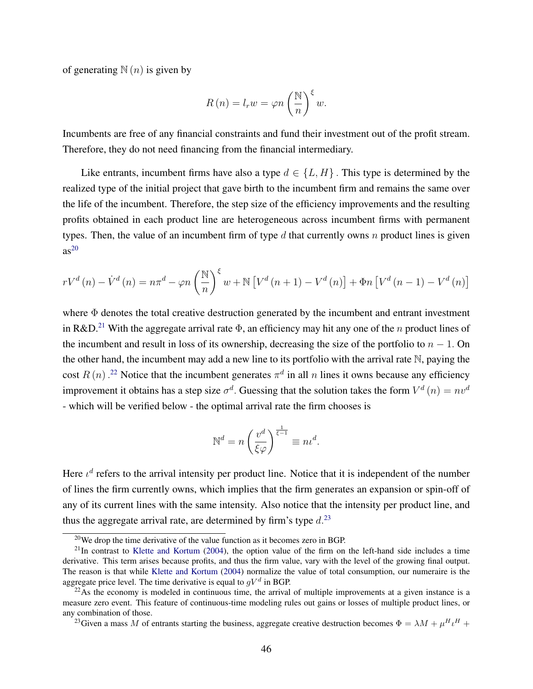of generating  $N(n)$  is given by

$$
R(n) = l_r w = \varphi n \left(\frac{\mathbb{N}}{n}\right)^{\xi} w.
$$

Incumbents are free of any financial constraints and fund their investment out of the profit stream. Therefore, they do not need financing from the financial intermediary.

Like entrants, incumbent firms have also a type  $d \in \{L, H\}$ . This type is determined by the realized type of the initial project that gave birth to the incumbent firm and remains the same over the life of the incumbent. Therefore, the step size of the efficiency improvements and the resulting profits obtained in each product line are heterogeneous across incumbent firms with permanent types. Then, the value of an incumbent firm of type d that currently owns n product lines is given  $as^{20}$  $as^{20}$  $as^{20}$ 

$$
rV^{d}(n) - \dot{V}^{d}(n) = n\pi^{d} - \varphi n \left(\frac{\mathbb{N}}{n}\right)^{\xi} w + \mathbb{N} \left[ V^{d}(n+1) - V^{d}(n) \right] + \Phi n \left[ V^{d}(n-1) - V^{d}(n) \right]
$$

where  $\Phi$  denotes the total creative destruction generated by the incumbent and entrant investment in R&D.<sup>[21](#page-0-0)</sup> With the aggregate arrival rate  $\Phi$ , an efficiency may hit any one of the *n* product lines of the incumbent and result in loss of its ownership, decreasing the size of the portfolio to  $n - 1$ . On the other hand, the incumbent may add a new line to its portfolio with the arrival rate N, paying the cost  $R(n)$ .<sup>[22](#page-0-0)</sup> Notice that the incumbent generates  $\pi^d$  in all n lines it owns because any efficiency improvement it obtains has a step size  $\sigma^d$ . Guessing that the solution takes the form  $V^d(n) = nv^d$ - which will be verified below - the optimal arrival rate the firm chooses is

$$
\mathbb{N}^d = n \left(\frac{v^d}{\xi \varphi}\right)^{\frac{1}{\xi - 1}} \equiv n \iota^d.
$$

Here  $\iota^d$  refers to the arrival intensity per product line. Notice that it is independent of the number of lines the firm currently owns, which implies that the firm generates an expansion or spin-off of any of its current lines with the same intensity. Also notice that the intensity per product line, and thus the aggregate arrival rate, are determined by firm's type  $d<sup>23</sup>$  $d<sup>23</sup>$  $d<sup>23</sup>$ 

 $^{20}$ We drop the time derivative of the value function as it becomes zero in BGP.

 $^{21}$ In contrast to [Klette and Kortum](#page-26-12) [\(2004\)](#page-26-12), the option value of the firm on the left-hand side includes a time derivative. This term arises because profits, and thus the firm value, vary with the level of the growing final output. The reason is that while [Klette and Kortum](#page-26-12) [\(2004\)](#page-26-12) normalize the value of total consumption, our numeraire is the aggregate price level. The time derivative is equal to  $gV^d$  in BGP.

 $^{22}$ As the economy is modeled in continuous time, the arrival of multiple improvements at a given instance is a measure zero event. This feature of continuous-time modeling rules out gains or losses of multiple product lines, or any combination of those.

<sup>&</sup>lt;sup>23</sup>Given a mass M of entrants starting the business, aggregate creative destruction becomes  $\Phi = \lambda M + \mu^H \iota^H +$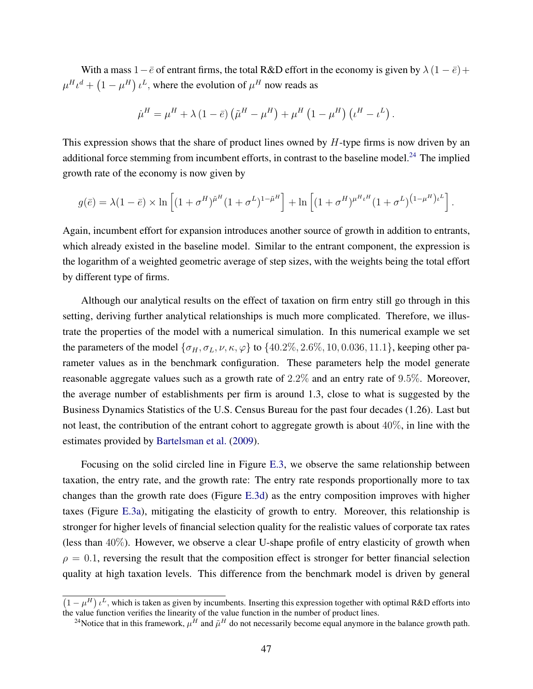With a mass  $1-\bar{e}$  of entrant firms, the total R&D effort in the economy is given by  $\lambda (1-\bar{e})+$  $\mu^H \iota^d + (1 - \mu^H) \iota^L$ , where the evolution of  $\mu^H$  now reads as

$$
\dot{\mu}^H = \mu^H + \lambda (1 - \bar{e}) \left( \tilde{\mu}^H - \mu^H \right) + \mu^H (1 - \mu^H) \left( \iota^H - \iota^L \right).
$$

This expression shows that the share of product lines owned by  $H$ -type firms is now driven by an additional force stemming from incumbent efforts, in contrast to the baseline model.<sup>[24](#page-0-0)</sup> The implied growth rate of the economy is now given by

$$
g(\bar{e}) = \lambda (1 - \bar{e}) \times \ln \left[ (1 + \sigma^H)^{\tilde{\mu}^H} (1 + \sigma^L)^{1 - \tilde{\mu}^H} \right] + \ln \left[ (1 + \sigma^H)^{\mu^H \iota^H} (1 + \sigma^L)^{(1 - \mu^H) \iota^L} \right].
$$

Again, incumbent effort for expansion introduces another source of growth in addition to entrants, which already existed in the baseline model. Similar to the entrant component, the expression is the logarithm of a weighted geometric average of step sizes, with the weights being the total effort by different type of firms.

Although our analytical results on the effect of taxation on firm entry still go through in this setting, deriving further analytical relationships is much more complicated. Therefore, we illustrate the properties of the model with a numerical simulation. In this numerical example we set the parameters of the model  $\{\sigma_H, \sigma_L, \nu, \kappa, \varphi\}$  to  $\{40.2\%, 2.6\%, 10, 0.036, 11.1\}$ , keeping other parameter values as in the benchmark configuration. These parameters help the model generate reasonable aggregate values such as a growth rate of 2.2% and an entry rate of 9.5%. Moreover, the average number of establishments per firm is around 1.3, close to what is suggested by the Business Dynamics Statistics of the U.S. Census Bureau for the past four decades (1.26). Last but not least, the contribution of the entrant cohort to aggregate growth is about 40%, in line with the estimates provided by [Bartelsman et al.](#page-25-0) [\(2009\)](#page-25-0).

Focusing on the solid circled line in Figure [E.3,](#page-47-1) we observe the same relationship between taxation, the entry rate, and the growth rate: The entry rate responds proportionally more to tax changes than the growth rate does (Figure [E.3d\)](#page-47-2) as the entry composition improves with higher taxes (Figure [E.3a\)](#page-47-3), mitigating the elasticity of growth to entry. Moreover, this relationship is stronger for higher levels of financial selection quality for the realistic values of corporate tax rates (less than 40%). However, we observe a clear U-shape profile of entry elasticity of growth when  $\rho = 0.1$ , reversing the result that the composition effect is stronger for better financial selection quality at high taxation levels. This difference from the benchmark model is driven by general

 $(1 - \mu^H) \mu^L$ , which is taken as given by incumbents. Inserting this expression together with optimal R&D efforts into the value function verifies the linearity of the value function in the number of product lines.

<sup>&</sup>lt;sup>24</sup>Notice that in this framework,  $\mu^H$  and  $\tilde{\mu}^H$  do not necessarily become equal anymore in the balance growth path.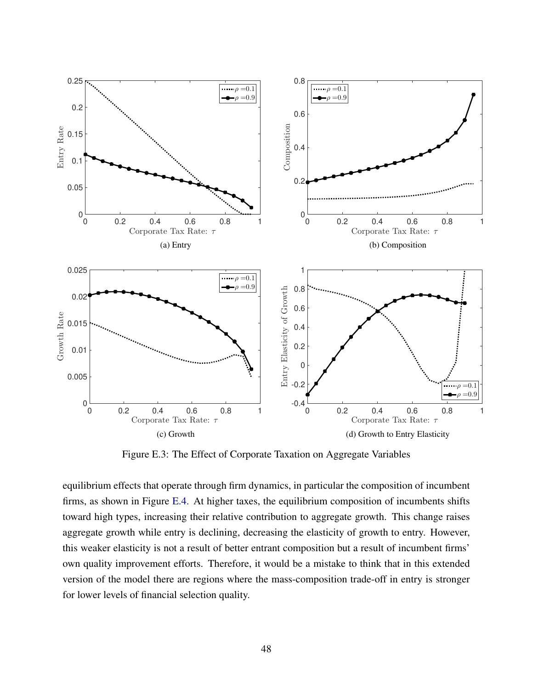<span id="page-47-3"></span><span id="page-47-1"></span>

<span id="page-47-2"></span>Figure E.3: The Effect of Corporate Taxation on Aggregate Variables

<span id="page-47-0"></span>equilibrium effects that operate through firm dynamics, in particular the composition of incumbent firms, as shown in Figure [E.4.](#page-48-0) At higher taxes, the equilibrium composition of incumbents shifts toward high types, increasing their relative contribution to aggregate growth. This change raises aggregate growth while entry is declining, decreasing the elasticity of growth to entry. However, this weaker elasticity is not a result of better entrant composition but a result of incumbent firms' own quality improvement efforts. Therefore, it would be a mistake to think that in this extended version of the model there are regions where the mass-composition trade-off in entry is stronger for lower levels of financial selection quality.